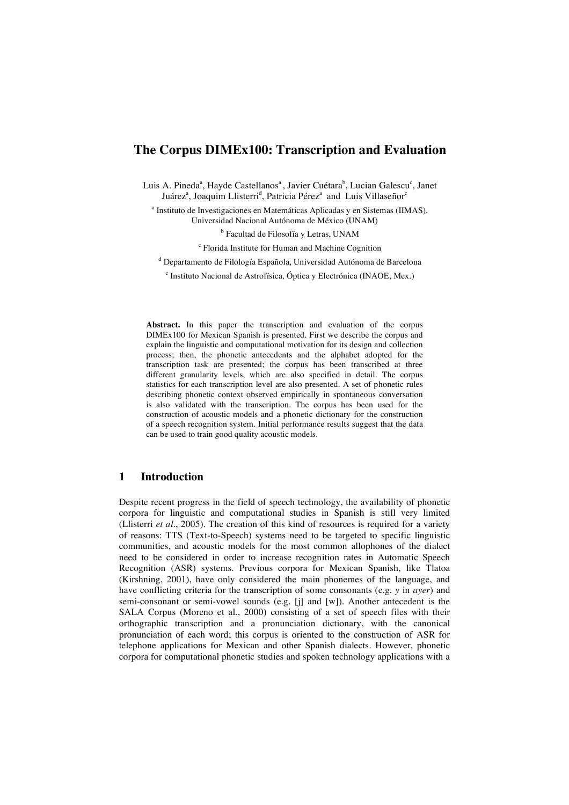Luis A. Pineda<sup>a</sup>, Hayde Castellanos<sup>a</sup>, Javier Cuétara<sup>b</sup>, Lucian Galescu<sup>c</sup>, Janet Juárez<sup>a</sup>, Joaquim Llisterri<sup>d</sup>, Patricia Pérez<sup>a</sup> and Luis Villaseñor<sup>e</sup>

<sup>a</sup> Instituto de Investigaciones en Matemáticas Aplicadas y en Sistemas (IIMAS), Universidad Nacional Autónoma de México (UNAM)

<sup>b</sup> Facultad de Filosofía y Letras, UNAM

<sup>c</sup> Florida Institute for Human and Machine Cognition

<sup>d</sup> Departamento de Filología Española, Universidad Autónoma de Barcelona

<sup>e</sup> Instituto Nacional de Astrofísica, Óptica y Electrónica (INAOE, Mex.)

**Abstract.** In this paper the transcription and evaluation of the corpus DIMEx100 for Mexican Spanish is presented. First we describe the corpus and explain the linguistic and computational motivation for its design and collection process; then, the phonetic antecedents and the alphabet adopted for the transcription task are presented; the corpus has been transcribed at three different granularity levels, which are also specified in detail. The corpus statistics for each transcription level are also presented. A set of phonetic rules describing phonetic context observed empirically in spontaneous conversation is also validated with the transcription. The corpus has been used for the construction of acoustic models and a phonetic dictionary for the construction of a speech recognition system. Initial performance results suggest that the data can be used to train good quality acoustic models.

### **1 Introduction**

Despite recent progress in the field of speech technology, the availability of phonetic corpora for linguistic and computational studies in Spanish is still very limited (Llisterri *et al*., 2005). The creation of this kind of resources is required for a variety of reasons: TTS (Text-to-Speech) systems need to be targeted to specific linguistic communities, and acoustic models for the most common allophones of the dialect need to be considered in order to increase recognition rates in Automatic Speech Recognition (ASR) systems. Previous corpora for Mexican Spanish, like Tlatoa (Kirshning, 2001), have only considered the main phonemes of the language, and have conflicting criteria for the transcription of some consonants (e.g. *y* in *ayer*) and semi-consonant or semi-vowel sounds (e.g. [j] and [w]). Another antecedent is the SALA Corpus (Moreno et al., 2000) consisting of a set of speech files with their orthographic transcription and a pronunciation dictionary, with the canonical pronunciation of each word; this corpus is oriented to the construction of ASR for telephone applications for Mexican and other Spanish dialects. However, phonetic corpora for computational phonetic studies and spoken technology applications with a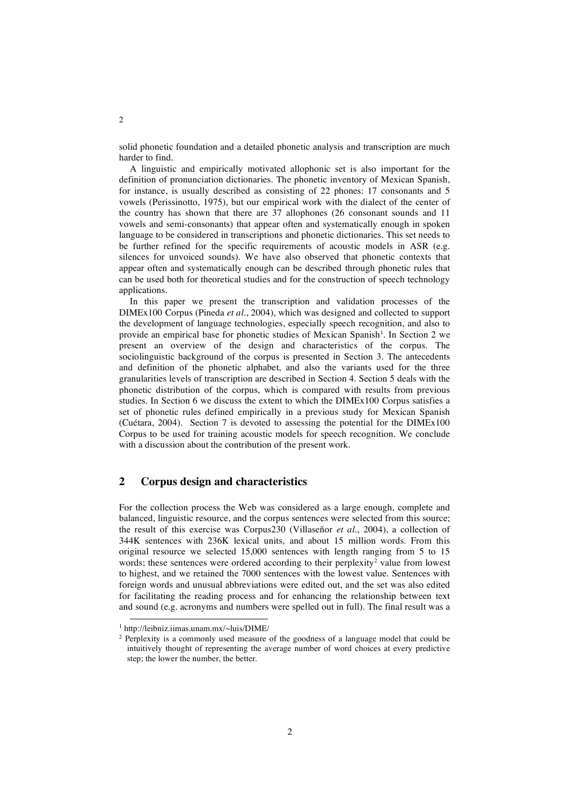solid phonetic foundation and a detailed phonetic analysis and transcription are much harder to find.

A linguistic and empirically motivated allophonic set is also important for the definition of pronunciation dictionaries. The phonetic inventory of Mexican Spanish, for instance, is usually described as consisting of 22 phones: 17 consonants and 5 vowels (Perissinotto, 1975), but our empirical work with the dialect of the center of the country has shown that there are 37 allophones (26 consonant sounds and 11 vowels and semi-consonants) that appear often and systematically enough in spoken language to be considered in transcriptions and phonetic dictionaries. This set needs to be further refined for the specific requirements of acoustic models in ASR (e.g. silences for unvoiced sounds). We have also observed that phonetic contexts that appear often and systematically enough can be described through phonetic rules that can be used both for theoretical studies and for the construction of speech technology applications.

In this paper we present the transcription and validation processes of the DIMEx100 Corpus (Pineda *et al*., 2004), which was designed and collected to support the development of language technologies, especially speech recognition, and also to provide an empirical base for phonetic studies of Mexican Spanish<sup>1</sup>. In Section 2 we present an overview of the design and characteristics of the corpus. The sociolinguistic background of the corpus is presented in Section 3. The antecedents and definition of the phonetic alphabet, and also the variants used for the three granularities levels of transcription are described in Section 4. Section 5 deals with the phonetic distribution of the corpus, which is compared with results from previous studies. In Section 6 we discuss the extent to which the DIMEx100 Corpus satisfies a set of phonetic rules defined empirically in a previous study for Mexican Spanish (Cuétara, 2004). Section 7 is devoted to assessing the potential for the DIMEx100 Corpus to be used for training acoustic models for speech recognition. We conclude with a discussion about the contribution of the present work.

### **2 Corpus design and characteristics**

For the collection process the Web was considered as a large enough, complete and balanced, linguistic resource, and the corpus sentences were selected from this source; the result of this exercise was Corpus230 (Villaseñor *et al.*, 2004), a collection of 344K sentences with 236K lexical units, and about 15 million words. From this original resource we selected 15,000 sentences with length ranging from 5 to 15 words; these sentences were ordered according to their perplexity<sup>2</sup> value from lowest to highest, and we retained the 7000 sentences with the lowest value. Sentences with foreign words and unusual abbreviations were edited out, and the set was also edited for facilitating the reading process and for enhancing the relationship between text and sound (e.g. acronyms and numbers were spelled out in full). The final result was a

 $\mathfrak{Z}$ 

 <sup>1</sup> http://leibniz.iimas.unam.mx/~luis/DIME/

<sup>2</sup> Perplexity is a commonly used measure of the goodness of a language model that could be intuitively thought of representing the average number of word choices at every predictive step; the lower the number, the better.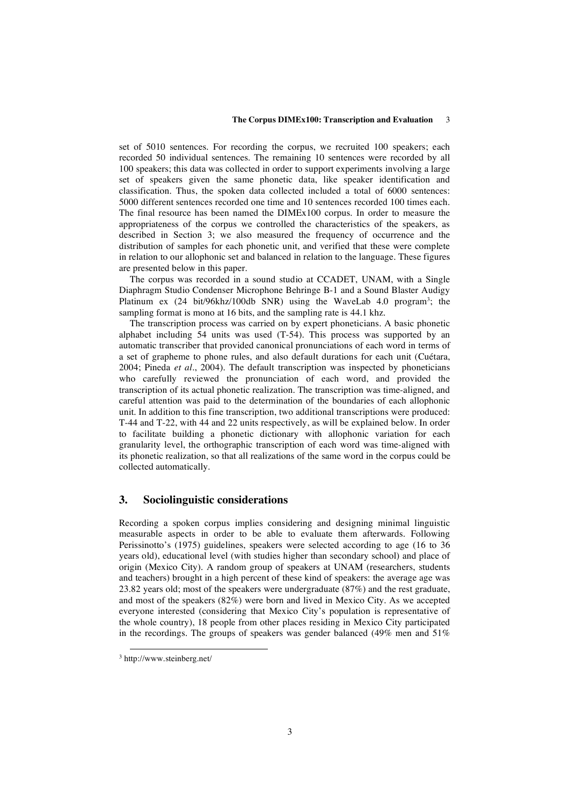set of 5010 sentences. For recording the corpus, we recruited 100 speakers; each recorded 50 individual sentences. The remaining 10 sentences were recorded by all 100 speakers; this data was collected in order to support experiments involving a large set of speakers given the same phonetic data, like speaker identification and classification. Thus, the spoken data collected included a total of 6000 sentences: 5000 different sentences recorded one time and 10 sentences recorded 100 times each. The final resource has been named the DIMEx100 corpus. In order to measure the appropriateness of the corpus we controlled the characteristics of the speakers, as described in Section 3; we also measured the frequency of occurrence and the distribution of samples for each phonetic unit, and verified that these were complete in relation to our allophonic set and balanced in relation to the language. These figures are presented below in this paper.

The corpus was recorded in a sound studio at CCADET, UNAM, with a Single Diaphragm Studio Condenser Microphone Behringe B-1 and a Sound Blaster Audigy Platinum ex (24 bit/96khz/100db SNR) using the WaveLab 4.0 program<sup>3</sup>; the sampling format is mono at 16 bits, and the sampling rate is 44.1 khz.

The transcription process was carried on by expert phoneticians. A basic phonetic alphabet including  $54$  units was used  $(T-54)$ . This process was supported by an automatic transcriber that provided canonical pronunciations of each word in terms of a set of grapheme to phone rules, and also default durations for each unit (Cuétara, 2004; Pineda *et al*., 2004). The default transcription was inspected by phoneticians who carefully reviewed the pronunciation of each word, and provided the transcription of its actual phonetic realization. The transcription was time-aligned, and careful attention was paid to the determination of the boundaries of each allophonic unit. In addition to this fine transcription, two additional transcriptions were produced: T-44 and T-22, with 44 and 22 units respectively, as will be explained below. In order to facilitate building a phonetic dictionary with allophonic variation for each granularity level, the orthographic transcription of each word was time-aligned with its phonetic realization, so that all realizations of the same word in the corpus could be collected automatically.

### **3. Sociolinguistic considerations**

Recording a spoken corpus implies considering and designing minimal linguistic measurable aspects in order to be able to evaluate them afterwards. Following Perissinotto's (1975) guidelines, speakers were selected according to age (16 to 36 years old), educational level (with studies higher than secondary school) and place of origin (Mexico City). A random group of speakers at UNAM (researchers, students and teachers) brought in a high percent of these kind of speakers: the average age was 23.82 years old; most of the speakers were undergraduate (87%) and the rest graduate, and most of the speakers (82%) were born and lived in Mexico City. As we accepted everyone interested (considering that Mexico City's population is representative of the whole country), 18 people from other places residing in Mexico City participated in the recordings. The groups of speakers was gender balanced  $(49\%$  men and  $51\%$ 

 <sup>3</sup> http://www.steinberg.net/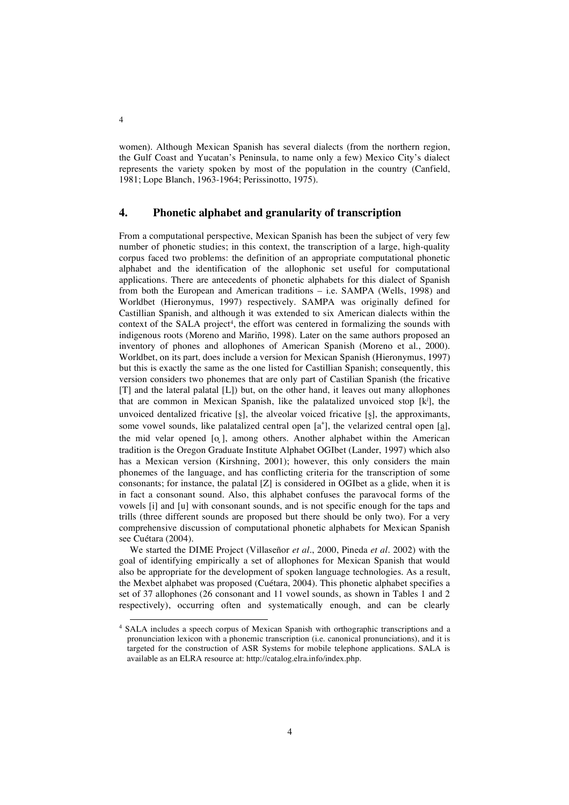women). Although Mexican Spanish has several dialects (from the northern region, the Gulf Coast and Yucatan's Peninsula, to name only a few) Mexico City's dialect represents the variety spoken by most of the population in the country (Canfield, 1981; Lope Blanch, 1963-1964; Perissinotto, 1975).

#### **4. Phonetic alphabet and granularity of transcription**

From a computational perspective, Mexican Spanish has been the subject of very few number of phonetic studies; in this context, the transcription of a large, high-quality corpus faced two problems: the definition of an appropriate computational phonetic alphabet and the identification of the allophonic set useful for computational applications. There are antecedents of phonetic alphabets for this dialect of Spanish from both the European and American traditions – i.e. SAMPA (Wells, 1998) and Worldbet (Hieronymus, 1997) respectively. SAMPA was originally defined for Castillian Spanish, and although it was extended to six American dialects within the context of the SALA project 4, the effort was centered in formalizing the sounds with indigenous roots (Moreno and Mariño, 1998). Later on the same authors proposed an inventory of phones and allophones of American Spanish (Moreno et al., 2000). Worldbet, on its part, does include a version for Mexican Spanish (Hieronymus, 1997) but this is exactly the same as the one listed for Castillian Spanish; consequently, this version considers two phonemes that are only part of Castilian Spanish (the fricative [T] and the lateral palatal [L]) but, on the other hand, it leaves out many allophones that are common in Mexican Spanish, like the palatalized unvoiced stop  $[k^j]$ , the unvoiced dentalized fricative [s], the alveolar voiced fricative [s], the approximants, some vowel sounds, like palatalized central open  $[a^+]$ , the velarized central open  $[\underline{a}]$ , the mid velar opened [o ], among others. Another alphabet within the American tradition is the Oregon Graduate Institute Alphabet OGIbet (Lander, 1997) which also has a Mexican version (Kirshning, 2001); however, this only considers the main phonemes of the language, and has conflicting criteria for the transcription of some consonants; for instance, the palatal [Z] is considered in OGIbet as a glide, when it is in fact a consonant sound. Also, this alphabet confuses the paravocal forms of the vowels [i] and [u] with consonant sounds, and is not specific enough for the taps and trills (three different sounds are proposed but there should be only two). For a very comprehensive discussion of computational phonetic alphabets for Mexican Spanish see Cuétara (2004).

We started the DIME Project (Villaseñor *et al*., 2000, Pineda *et al*. 2002) with the goal of identifying empirically a set of allophones for Mexican Spanish that would also be appropriate for the development of spoken language technologies. As a result, the Mexbet alphabet was proposed (Cuétara, 2004). This phonetic alphabet specifies a set of 37 allophones (26 consonant and 11 vowel sounds, as shown in Tables 1 and 2 respectively), occurring often and systematically enough, and can be clearly

 <sup>4</sup> SALA includes <sup>a</sup> speech corpus of Mexican Spanish with orthographic transcriptions and <sup>a</sup> pronunciation lexicon with a phonemic transcription (i.e. canonical pronunciations), and it is targeted for the construction of ASR Systems for mobile telephone applications. SALA is available as an ELRA resource at: http://catalog.elra.info/index.php.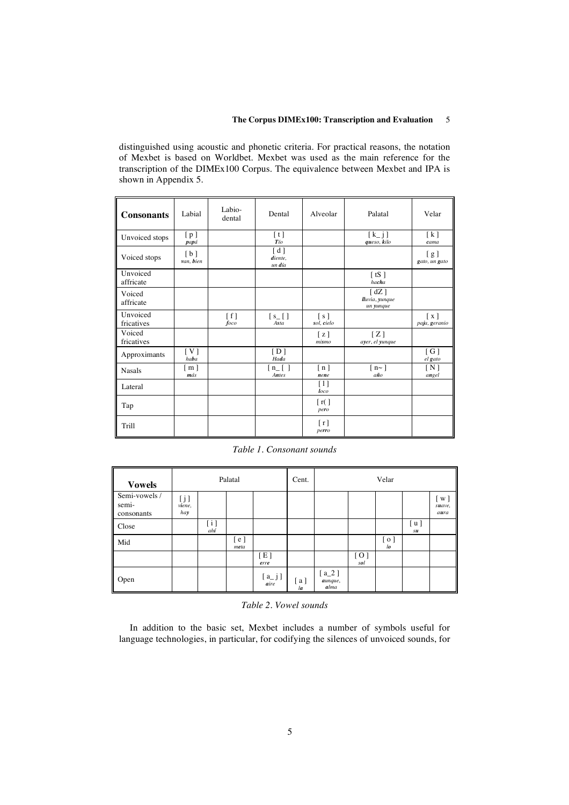distinguished using acoustic and phonetic criteria. For practical reasons, the notation of Mexbet is based on Worldbet. Mexbet was used as the main reference for the transcription of the DIMEx100 Corpus. The equivalence between Mexbet and IPA is shown in Appendix 5.

| <b>Consonants</b>      | Labial                    | Labio-<br>dental | Dental                                 | Alveolar                   | Palatal                                 | Velar                              |
|------------------------|---------------------------|------------------|----------------------------------------|----------------------------|-----------------------------------------|------------------------------------|
| Unvoiced stops         | [p]<br>papá               |                  | [t]<br>Tío                             |                            | $[k_j]$<br>queso, kilo                  | $\lceil k \rceil$<br>cama          |
| Voiced stops           | [b]<br>van, bien          |                  | $\lceil d \rceil$<br>diente.<br>un día |                            |                                         | [g]<br>gato, un gato               |
| Unvoiced<br>affricate  |                           |                  |                                        |                            | $\lceil tS \rceil$<br>hacha             |                                    |
| Voiced<br>affricate    |                           |                  |                                        |                            | [dZ]<br>Iluvia, yunque<br>un yunque     |                                    |
| Unvoiced<br>fricatives |                           | [f]<br>foco      | $[s_{-}$ []<br>Asta                    | [s]<br>sol, cielo          |                                         | $\lceil x \rceil$<br>paja, geranio |
| Voiced<br>fricatives   |                           |                  |                                        | $\lceil z \rceil$<br>mismo | $\lceil Z \rceil$<br>ayer, el yunque    |                                    |
| Approximants           | $\lceil V \rceil$<br>haba |                  | [D]<br>Hada                            |                            |                                         | $\lceil G \rceil$<br>el gato       |
| <b>Nasals</b>          | [m]<br>más                |                  | $[n_{-}[$ ]<br>Antes                   | $\lceil n \rceil$<br>nene  | $\lceil n \sim \rceil$<br>$a\tilde{n}o$ | [N]<br>angel                       |
| Lateral                |                           |                  |                                        | $\lceil 1 \rceil$<br>loco  |                                         |                                    |
| Tap                    |                           |                  |                                        | $[r($ ]<br>pero            |                                         |                                    |
| Trill                  |                           |                  |                                        | [r]<br>perro               |                                         |                                    |

*Table 1. Consonant sounds*

| <b>Vowels</b>                        |                      |            | Palatal                    |                                                                    | Cent.     |                            |            | Velar                        |           |                       |
|--------------------------------------|----------------------|------------|----------------------------|--------------------------------------------------------------------|-----------|----------------------------|------------|------------------------------|-----------|-----------------------|
| Semi-vowels /<br>semi-<br>consonants | [j]<br>viene,<br>hay |            |                            |                                                                    |           |                            |            |                              |           | W  <br>suave,<br>aura |
| Close                                |                      | [i]<br>ahí |                            |                                                                    |           |                            |            |                              | [u]<br>su |                       |
| Mid                                  |                      |            | $\left[ e \right]$<br>meta |                                                                    |           |                            |            | $\lceil 0 \rceil$<br>$l_{0}$ |           |                       |
|                                      |                      |            |                            | [E]<br>erre                                                        |           |                            | [0]<br>sol |                              |           |                       |
| Open                                 |                      |            |                            | $\left[\begin{smallmatrix} a & j \\ aire \end{smallmatrix}\right]$ | [a]<br>la | $[a_2]$<br>aunque,<br>alma |            |                              |           |                       |

### *Table 2. Vowel sounds*

In addition to the basic set, Mexbet includes a number of symbols useful for language technologies, in particular, for codifying the silences of unvoiced sounds, for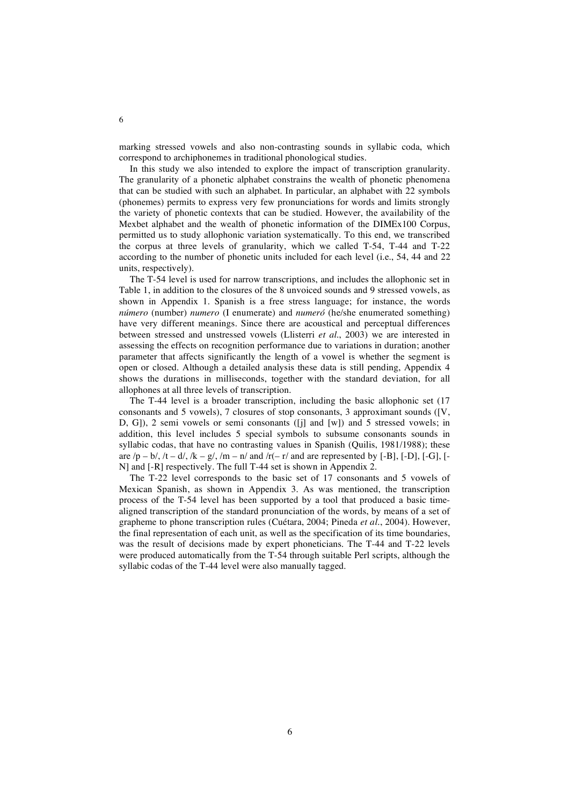marking stressed vowels and also non-contrasting sounds in syllabic coda, which correspond to archiphonemes in traditional phonological studies.

In this study we also intended to explore the impact of transcription granularity. The granularity of a phonetic alphabet constrains the wealth of phonetic phenomena that can be studied with such an alphabet. In particular, an alphabet with 22 symbols (phonemes) permits to express very few pronunciations for words and limits strongly the variety of phonetic contexts that can be studied. However, the availability of the Mexbet alphabet and the wealth of phonetic information of the DIMEx100 Corpus, permitted us to study allophonic variation systematically. To this end, we transcribed the corpus at three levels of granularity, which we called T-54, T-44 and T-22 according to the number of phonetic units included for each level (i.e., 54, 44 and 22 units, respectively).

The T-54 level is used for narrow transcriptions, and includes the allophonic set in Table 1, in addition to the closures of the 8 unvoiced sounds and 9 stressed vowels, as shown in Appendix 1. Spanish is a free stress language; for instance, the words *número* (number) *numero* (I enumerate) and *numeró* (he/she enumerated something) have very different meanings. Since there are acoustical and perceptual differences between stressed and unstressed vowels (Llisterri *et al*., 2003) we are interested in assessing the effects on recognition performance due to variations in duration; another parameter that affects significantly the length of a vowel is whether the segment is open or closed. Although a detailed analysis these data is still pending, Appendix 4 shows the durations in milliseconds, together with the standard deviation, for all allophones at all three levels of transcription.

The T-44 level is a broader transcription, including the basic allophonic set (17 consonants and 5 vowels), 7 closures of stop consonants, 3 approximant sounds ([V, D, G]), 2 semi vowels or semi consonants ([j] and [w]) and 5 stressed vowels; in addition, this level includes 5 special symbols to subsume consonants sounds in syllabic codas, that have no contrasting values in Spanish (Quilis, 1981/1988); these are  $/p - b$ ,  $/t - d$ ,  $/k - g$ ,  $/m - n$  and  $/r(-r)$  and are represented by [-B], [-D], [-G], [-N] and [-R] respectively. The full T-44 set is shown in Appendix 2.

The T-22 level corresponds to the basic set of 17 consonants and 5 vowels of Mexican Spanish, as shown in Appendix 3. As was mentioned, the transcription process of the T-54 level has been supported by a tool that produced a basic timealigned transcription of the standard pronunciation of the words, by means of a set of grapheme to phone transcription rules (Cuétara, 2004; Pineda *et al*., 2004). However, the final representation of each unit, as well as the specification of its time boundaries, was the result of decisions made by expert phoneticians. The T-44 and T-22 levels were produced automatically from the T-54 through suitable Perl scripts, although the syllabic codas of the T-44 level were also manually tagged.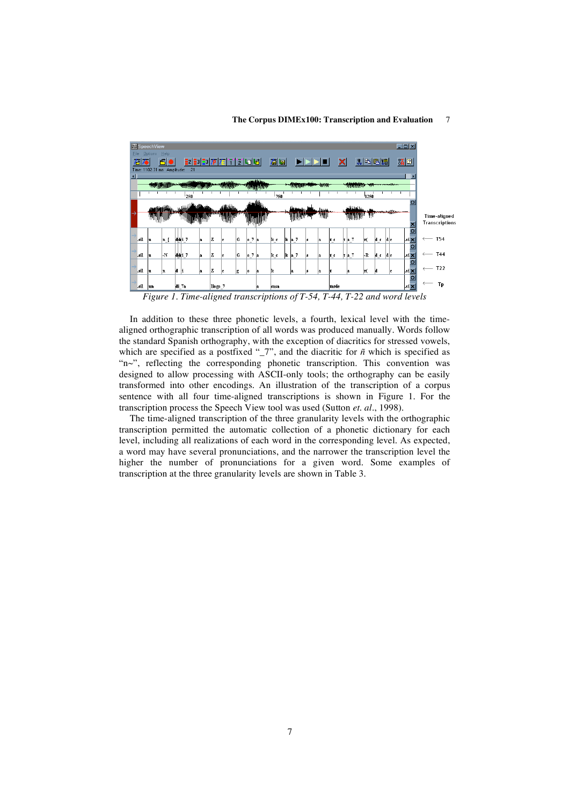

*Figure 1. Time-aligned transcriptions of T-54, T-44, T-22 and word levels*

In addition to these three phonetic levels, a fourth, lexical level with the timealigned orthographic transcription of all words was produced manually. Words follow the standard Spanish orthography, with the exception of diacritics for stressed vowels, which are specified as a postfixed " $7$ ", and the diacritic for  $\tilde{n}$  which is specified as "n~", reflecting the corresponding phonetic transcription. This convention was designed to allow processing with ASCII-only tools; the orthography can be easily transformed into other encodings. An illustration of the transcription of a corpus sentence with all four time-aligned transcriptions is shown in Figure 1. For the transcription process the Speech View tool was used (Sutton *et. al*., 1998).

The time-aligned transcription of the three granularity levels with the orthographic transcription permitted the automatic collection of a phonetic dictionary for each level, including all realizations of each word in the corresponding level. As expected, a word may have several pronunciations, and the narrower the transcription level the higher the number of pronunciations for a given word. Some examples of transcription at the three granularity levels are shown in Table 3.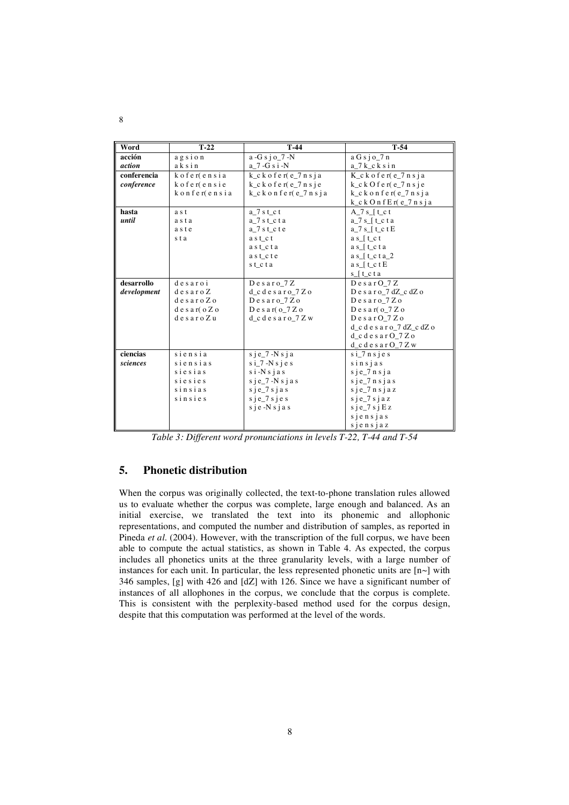| Word        | $T-22$                 | $T-44$                          | $T-54$                          |
|-------------|------------------------|---------------------------------|---------------------------------|
| acción      | agsion                 | $a$ -G s j o_7 -N               | $aGsi$ $O_7n$                   |
| action      | aksin                  | $a_7 - G s i - N$               | $a_7k$ <sub>c</sub> $k \sin$    |
| conferencia | k ofer(ensia           | $k_c k$ of er(e_7 n s j a       | $K_c$ k o f e r(e_7 n s j a     |
| conference  | k ofer(ensie           | $k_c k$ of er(e_7 n s je        | $k_c k$ O f e r(e_7 n s j e     |
|             | konfer(ensia           | $k_c k o n f e r (e 7 n s i a)$ | $k_c k o n f e r (e 7 n s i a)$ |
|             |                        |                                 | $k_c k$ O n f E r(e_7 n s j a   |
| hasta       | ast                    | $a_{7} s t_{c} t$               | $A \ 7 s \$                     |
| until       | asta                   | $a_7 s t_c t a$                 | $a_7s$ [t_c t a                 |
|             | aste                   | $a_7$ st_c t e                  | $a_{7}s_{1}t_{2}tE$             |
|             | sta                    | astct                           | $a s$ [t_c t                    |
|             |                        | ast_cta                         | $a s$ [t_cta                    |
|             |                        | ast_cte                         | $a s$ [t_c t a_2                |
|             |                        | st cta                          | $a s$ [t_c t E                  |
|             |                        |                                 | $s$ [ $t$ _c t a                |
| desarrollo  | desaroi                | $D$ e s a r o_7 Z               | $DesarO$ 7 Z                    |
| development | $de$ saro $Z$          | d cdesaro 7Zo                   | $D$ e s a r o $7$ dZ $c$ dZ o   |
|             | desaroZo               | $Dessaro_7Zo$                   | $Dessaro_7Zo$                   |
|             | $d$ e s a r( $o$ Z $o$ | $D$ e s a r(o $7Z$ o            | $D$ esar(o 7Zo                  |
|             | $de$ saro $Zu$         | $d_c d e s a r o_7 Z w$         | $DessarO_7Zo$                   |
|             |                        |                                 | $d_c d e s a r o_7 d Z_c d Z o$ |
|             |                        |                                 | $d_c d_e s$ ar $0_7 Z$ o        |
|             |                        |                                 | $d_c d e s a r O_7 Z w$         |
| ciencias    | siensia                | $si$ e_7 -N $si$ a              | $si$ 7 n s j e s                |
| sciences    | siensias               | $si_7$ -N s j e s               | sinsjas                         |
|             | siesias                | $si$ -N $si$ as                 | $sig_7nsja$                     |
|             | siesies                | $si$ e_7 -N s j a s             | $s$ je_7 n s ja s               |
|             | sinsias                | $sig_7$ s j a s                 | $sig$ -7 n s j a z              |
|             | sinsies                | $sig_7$ s je s                  | $sig_7$ s j a z                 |
|             |                        | $s$ je -N $s$ jas               | $sig - 7sj E z$                 |
|             |                        |                                 | sjensjas                        |
|             |                        |                                 | sjensjaz                        |

*Table 3: Different word pronunciations in levels T-22, T-44 and T-54*

### **5. Phonetic distribution**

When the corpus was originally collected, the text-to-phone translation rules allowed us to evaluate whether the corpus was complete, large enough and balanced. As an initial exercise, we translated the text into its phonemic and allophonic representations, and computed the number and distribution of samples, as reported in Pineda *et al*. (2004). However, with the transcription of the full corpus, we have been able to compute the actual statistics, as shown in Table 4. As expected, the corpus includes all phonetics units at the three granularity levels, with a large number of instances for each unit. In particular, the less represented phonetic units are  $[n\sim]$  with 346 samples, [g] with 426 and [dZ] with 126. Since we have a significant number of instances of all allophones in the corpus, we conclude that the corpus is complete. This is consistent with the perplexity-based method used for the corpus design, despite that this computation was performed at the level of the words.

8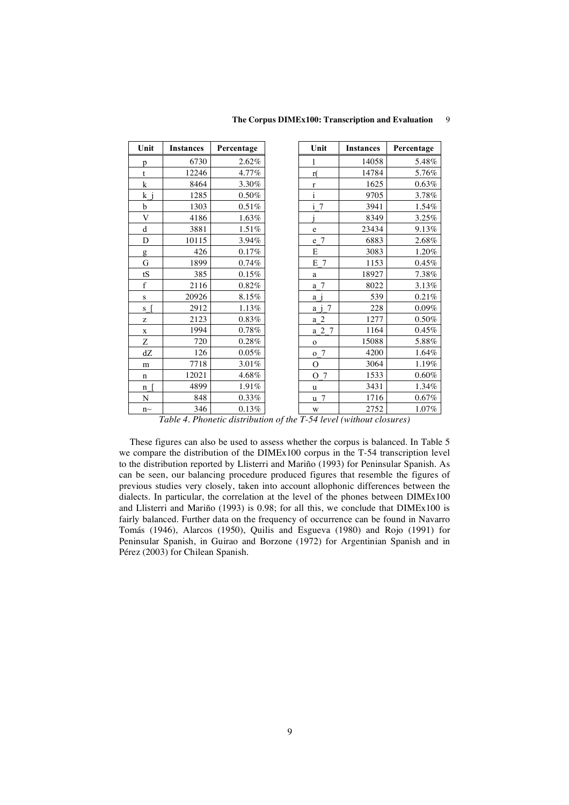| Unit        | <b>Instances</b> | Percentage | Unit                           | <b>Instances</b> | Percentage |
|-------------|------------------|------------|--------------------------------|------------------|------------|
| p           | 6730             | 2.62%      | 1                              | 14058            | 5.48%      |
| $\mathbf t$ | 12246            | 4.77%      | r(                             | 14784            | 5.76%      |
| $\mathbf k$ | 8464             | 3.30%      | $\Gamma$                       | 1625             | 0.63%      |
| $k$ i       | 1285             | 0.50%      | $\frac{1}{1}$                  | 9705             | 3.78%      |
| b           | 1303             | 0.51%      | $\mathbf{i}$<br>$\overline{7}$ | 3941             | 1.54%      |
| V           | 4186             | 1.63%      |                                | 8349             | 3.25%      |
| d           | 3881             | 1.51%      | $\mathbf e$                    | 23434            | 9.13%      |
| D           | 10115            | 3.94%      | e 7                            | 6883             | 2.68%      |
| g           | 426              | 0.17%      | E                              | 3083             | 1.20%      |
| G           | 1899             | 0.74%      | E 7                            | 1153             | 0.45%      |
| tS          | 385              | 0.15%      | a                              | 18927            | 7.38%      |
| $\mathbf f$ | 2116             | 0.82%      | a 7                            | 8022             | 3.13%      |
| ${\bf S}$   | 20926            | 8.15%      | a                              | 539              | 0.21%      |
| ${\bf S}$   | 2912             | 1.13%      | 7<br>a                         | 228              | 0.09%      |
| z           | 2123             | 0.83%      | a <sub>2</sub>                 | 1277             | 0.50%      |
| $\mathbf X$ | 1994             | 0.78%      | a 2 7                          | 1164             | 0.45%      |
| Ζ           | 720              | 0.28%      | $\mathbf{O}$                   | 15088            | 5.88%      |
| dZ          | 126              | 0.05%      | o <sub>7</sub>                 | 4200             | 1.64%      |
| m           | 7718             | 3.01%      | $\mathcal{O}$                  | 3064             | 1.19%      |
| $\mathbf n$ | 12021            | 4.68%      | O 7                            | 1533             | 0.60%      |
| $\mathbf n$ | 4899             | 1.91%      | <b>u</b>                       | 3431             | 1.34%      |
| N           | 848              | 0.33%      | $u$ 7                          | 1716             | 0.67%      |
| $n\sim$     | 346              | 0.13%      | W                              | 2752             | 1.07%      |

*Table 4. Phonetic distribution of the T-54 level (without closures)*

These figures can also be used to assess whether the corpus is balanced. In Table 5 we compare the distribution of the DIMEx100 corpus in the T-54 transcription level to the distribution reported by Llisterri and Mariño (1993) for Peninsular Spanish. As can be seen, our balancing procedure produced figures that resemble the figures of previous studies very closely, taken into account allophonic differences between the dialects. In particular, the correlation at the level of the phones between DIMEx100 and Llisterri and Mariño (1993) is 0.98; for all this, we conclude that DIMEx100 is fairly balanced. Further data on the frequency of occurrence can be found in Navarro Tomás (1946), Alarcos (1950), Quilis and Esgueva (1980) and Rojo (1991) for Peninsular Spanish, in Guirao and Borzone (1972) for Argentinian Spanish and in Pérez (2003) for Chilean Spanish.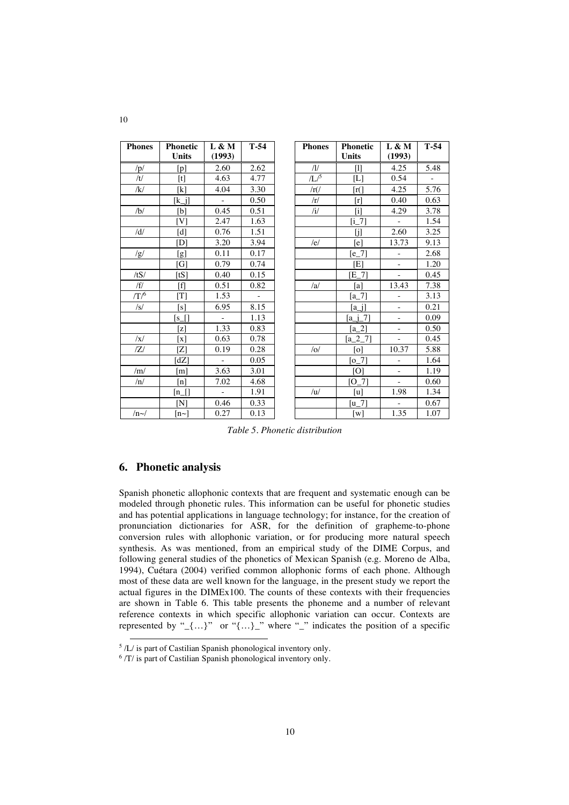| <b>Phones</b> | <b>Phonetic</b>                                                                                                                                                                                                                                                                                                                                                                                                                                                                                                                                                                                                                    | $L \& M$       | $T-54$ | <b>Phones</b> | <b>Phonetic</b>           | $L \& M$                 | $T-54$ |
|---------------|------------------------------------------------------------------------------------------------------------------------------------------------------------------------------------------------------------------------------------------------------------------------------------------------------------------------------------------------------------------------------------------------------------------------------------------------------------------------------------------------------------------------------------------------------------------------------------------------------------------------------------|----------------|--------|---------------|---------------------------|--------------------------|--------|
|               | <b>Units</b>                                                                                                                                                                                                                                                                                                                                                                                                                                                                                                                                                                                                                       | (1993)         |        |               | <b>Units</b>              | (1993)                   |        |
| /p/           | [p]                                                                                                                                                                                                                                                                                                                                                                                                                                                                                                                                                                                                                                | 2.60           | 2.62   | $\Lambda$     | Ш                         | 4.25                     | 5.48   |
| /t/           | $[t]$                                                                                                                                                                                                                                                                                                                                                                                                                                                                                                                                                                                                                              | 4.63           | 4.77   | $/L^{5}$      | [L]                       | 0.54                     |        |
| /k/           | [k]                                                                                                                                                                                                                                                                                                                                                                                                                                                                                                                                                                                                                                | 4.04           | 3.30   | /r(           | [r(                       | 4.25                     | 5.76   |
|               | $[k_j]$                                                                                                                                                                                                                                                                                                                                                                                                                                                                                                                                                                                                                            | $\overline{a}$ | 0.50   | /r/           | [r]                       | 0.40                     | 0.63   |
| /b/           | [b]                                                                                                                                                                                                                                                                                                                                                                                                                                                                                                                                                                                                                                | 0.45           | 0.51   | /i/           | $\left[ \text{i} \right]$ | 4.29                     | 3.78   |
|               | [V]                                                                                                                                                                                                                                                                                                                                                                                                                                                                                                                                                                                                                                | 2.47           | 1.63   |               | $\lceil i_{7} \rceil$     | $\overline{\phantom{a}}$ | 1.54   |
| /d/           | [d]                                                                                                                                                                                                                                                                                                                                                                                                                                                                                                                                                                                                                                | 0.76           | 1.51   |               | [j]                       | 2.60                     | 3.25   |
|               | [D]                                                                                                                                                                                                                                                                                                                                                                                                                                                                                                                                                                                                                                | 3.20           | 3.94   | /e/           | [e]                       | 13.73                    | 9.13   |
| /g/           | [g]                                                                                                                                                                                                                                                                                                                                                                                                                                                                                                                                                                                                                                | 0.11           | 0.17   |               | $[e_7]$                   | $\overline{a}$           | 2.68   |
|               | [G]                                                                                                                                                                                                                                                                                                                                                                                                                                                                                                                                                                                                                                | 0.79           | 0.74   |               | [E]                       | $\overline{a}$           | 1.20   |
| /tS/          | [tS]                                                                                                                                                                                                                                                                                                                                                                                                                                                                                                                                                                                                                               | 0.40           | 0.15   |               | $E_7$                     | ÷,                       | 0.45   |
| /f/           | $[f] % \begin{center} % \includegraphics[width=\linewidth]{imagesSupplemental_3.png} % \end{center} % \caption { % Our method can be used for the use of the image. % Note that the \emph{DefNet} and the \emph{DefNet} is used for the \emph{DefNet} and the \emph{DefNet} is used for the \emph{DefNet} and the \emph{DefNet} is used for the \emph{DefNet} and the \emph{DefNet} is used for the \emph{DefNet} and the \emph{DefNet} is used for the \emph{DefNet} and the \emph{DefNet} is used for the \emph{DefNet} and the \emph{DefNet} is used for the \emph{DefNet} and the \emph{DefNet} is used for the \emph{DefNet}$ | 0.51           | 0.82   | /a            | [a]                       | 13.43                    | 7.38   |
| /T/6          | ΓT]                                                                                                                                                                                                                                                                                                                                                                                                                                                                                                                                                                                                                                | 1.53           |        |               | [a 7]                     |                          | 3.13   |
| /s/           | [s]                                                                                                                                                                                                                                                                                                                                                                                                                                                                                                                                                                                                                                | 6.95           | 8.15   |               | $[a_i]$                   | ÷.                       | 0.21   |
|               | $[s_$ []                                                                                                                                                                                                                                                                                                                                                                                                                                                                                                                                                                                                                           | $\overline{a}$ | 1.13   |               | $[a_i]$ 7]                | $\overline{a}$           | 0.09   |
|               | [z]                                                                                                                                                                                                                                                                                                                                                                                                                                                                                                                                                                                                                                | 1.33           | 0.83   |               | [a 2]                     | ÷,                       | 0.50   |
| $\sqrt{x}$    | [x]                                                                                                                                                                                                                                                                                                                                                                                                                                                                                                                                                                                                                                | 0.63           | 0.78   |               | $[a_2 7]$                 | ÷.                       | 0.45   |
| Z             | [Z]                                                                                                                                                                                                                                                                                                                                                                                                                                                                                                                                                                                                                                | 0.19           | 0.28   | /0/           | [o]                       | 10.37                    | 5.88   |
|               | [dZ]                                                                                                                                                                                                                                                                                                                                                                                                                                                                                                                                                                                                                               |                | 0.05   |               | $[0_7]$                   |                          | 1.64   |
| /m/           | [m]                                                                                                                                                                                                                                                                                                                                                                                                                                                                                                                                                                                                                                | 3.63           | 3.01   |               | [O]                       | ÷,                       | 1.19   |
| /n/           | $\lceil n \rceil$                                                                                                                                                                                                                                                                                                                                                                                                                                                                                                                                                                                                                  | 7.02           | 4.68   |               | $[O_7]$                   | $\overline{a}$           | 0.60   |
|               | $[n_$                                                                                                                                                                                                                                                                                                                                                                                                                                                                                                                                                                                                                              | $\mathcal{L}$  | 1.91   | / <u>u</u>    | [u]                       | 1.98                     | 1.34   |
|               | [N]                                                                                                                                                                                                                                                                                                                                                                                                                                                                                                                                                                                                                                | 0.46           | 0.33   |               | $[u_2]$                   | ÷.                       | 0.67   |
| $/n\sim$ /    | $[n\sim]$                                                                                                                                                                                                                                                                                                                                                                                                                                                                                                                                                                                                                          | 0.27           | 0.13   |               | $\lceil w \rceil$         | 1.35                     | 1.07   |

*Table 5. Phonetic distribution*

### **6. Phonetic analysis**

Spanish phonetic allophonic contexts that are frequent and systematic enough can be modeled through phonetic rules. This information can be useful for phonetic studies and has potential applications in language technology; for instance, for the creation of pronunciation dictionaries for ASR, for the definition of grapheme-to-phone conversion rules with allophonic variation, or for producing more natural speech synthesis. As was mentioned, from an empirical study of the DIME Corpus, and following general studies of the phonetics of Mexican Spanish (e.g. Moreno de Alba, 1994), Cuétara (2004) verified common allophonic forms of each phone. Although most of these data are well known for the language, in the present study we report the actual figures in the DIMEx100. The counts of these contexts with their frequencies are shown in Table 6. This table presents the phoneme and a number of relevant reference contexts in which specific allophonic variation can occur. Contexts are represented by "\_{…}" or "{…}\_" where "\_" indicates the position of a specific

 $5$  /L/ is part of Castilian Spanish phonological inventory only.

 $6/T/$  is part of Castilian Spanish phonological inventory only.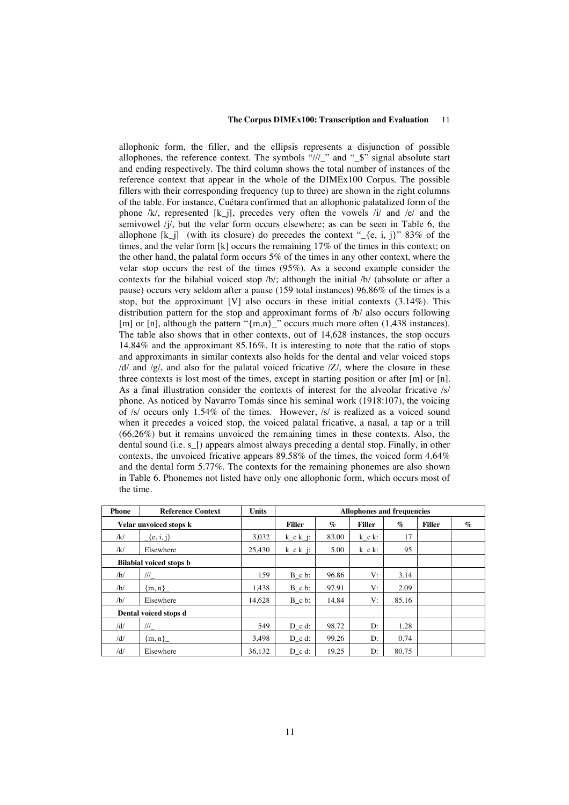allophonic form, the filler, and the ellipsis represents a disjunction of possible allophones, the reference context. The symbols " $\frac{1}{2}$ " and " \"\$" signal absolute start and ending respectively. The third column shows the total number of instances of the reference context that appear in the whole of the DIMEx100 Corpus. The possible fillers with their corresponding frequency (up to three) are shown in the right columns of the table. For instance, Cuétara confirmed that an allophonic palatalized form of the phone /k/, represented [k\_j], precedes very often the vowels /i/ and /e/ and the semivowel  $/j/$ , but the velar form occurs elsewhere; as can be seen in Table 6, the allophone  $[k_j]$  (with its closure) do precedes the context " $_{e}$ (e, i, j)" 83% of the times, and the velar form [k] occurs the remaining 17% of the times in this context; on the other hand, the palatal form occurs 5% of the times in any other context, where the velar stop occurs the rest of the times (95%). As a second example consider the contexts for the bilabial voiced stop /b/; although the initial /b/ (absolute or after a pause) occurs very seldom after a pause (159 total instances) 96.86% of the times is a stop, but the approximant [V] also occurs in these initial contexts (3.14%). This distribution pattern for the stop and approximant forms of /b/ also occurs following [m] or [n], although the pattern "{m,n}\_" occurs much more often (1,438 instances). The table also shows that in other contexts, out of 14,628 instances, the stop occurs 14.84% and the approximant 85.16%. It is interesting to note that the ratio of stops and approximants in similar contexts also holds for the dental and velar voiced stops  $\frac{d}{dx}$  and  $\frac{g}{g}$ , and also for the palatal voiced fricative  $\frac{g}{g}$ , where the closure in these three contexts is lost most of the times, except in starting position or after  $[m]$  or  $[n]$ . As a final illustration consider the contexts of interest for the alveolar fricative /s/ phone. As noticed by Navarro Tomás since his seminal work (1918:107), the voicing of /s/ occurs only 1.54% of the times. However, /s/ is realized as a voiced sound when it precedes a voiced stop, the voiced palatal fricative, a nasal, a tap or a trill (66.26%) but it remains unvoiced the remaining times in these contexts. Also, the dental sound (i.e. s\_[) appears almost always preceding a dental stop. Finally, in other contexts, the unvoiced fricative appears 89.58% of the times, the voiced form 4.64% and the dental form 5.77%. The contexts for the remaining phonemes are also shown in Table 6. Phonemes not listed have only one allophonic form, which occurs most of the time.

| <b>Phone</b> | <b>Reference Context</b>       | <b>Units</b> |               |       | <b>Allophones and frequencies</b> |       |               |      |
|--------------|--------------------------------|--------------|---------------|-------|-----------------------------------|-------|---------------|------|
|              | Velar unvoiced stops k         |              | <b>Filler</b> | $\%$  | <b>Filler</b>                     | $\%$  | <b>Filler</b> | $\%$ |
| /k/          | $\{e, i, j\}$                  | 3,032        | $k_c k_j$ :   | 83.00 | $k_c$ k:                          | 17    |               |      |
| /k/          | Elsewhere                      | 25.430       | $k_c k_i$ :   | 5.00  | $k_c$ k:                          | 95    |               |      |
|              | <b>Bilabial voiced stops b</b> |              |               |       |                                   |       |               |      |
| /b/          | III                            | 159          | $B$ c b:      | 96.86 | V:                                | 3.14  |               |      |
| /b/          | ${m, n}_-$                     | 1.438        | $B_{c}$ b:    | 97.91 | V:                                | 2.09  |               |      |
| /b/          | Elsewhere                      | 14,628       | $B$ c b:      | 14.84 | V:                                | 85.16 |               |      |
|              | Dental voiced stops d          |              |               |       |                                   |       |               |      |
| /d/          | $III_{-}$                      | 549          | $D_{c}d$ :    | 98.72 | D:                                | 1.28  |               |      |
| /d/          | ${m, n}$                       | 3,498        | $D_{c}d$ :    | 99.26 | D:                                | 0.74  |               |      |
| /d/          | Elsewhere                      | 36,132       | $D$ c d:      | 19.25 | D:                                | 80.75 |               |      |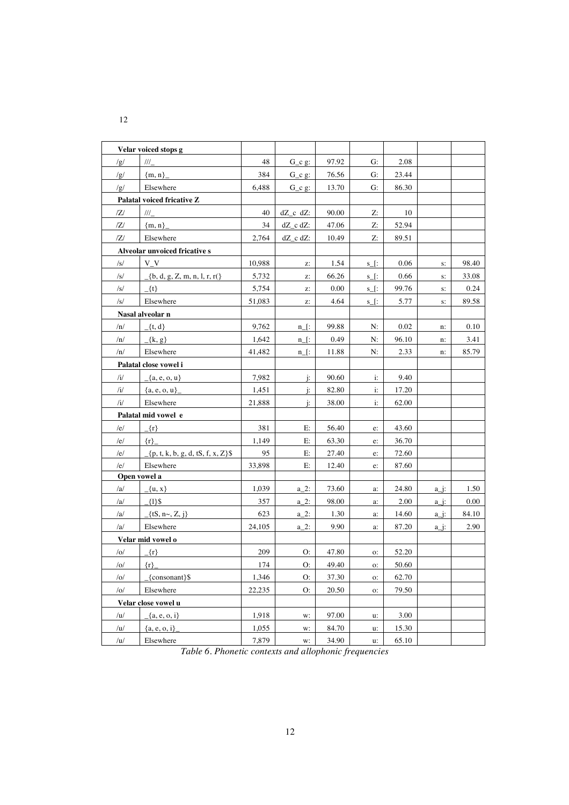|               | Velar voiced stops g                                                                                    |        |             |       |                     |       |         |       |
|---------------|---------------------------------------------------------------------------------------------------------|--------|-------------|-------|---------------------|-------|---------|-------|
| /g/           | $\ensuremath{/\! \! / \! \! / \! \! }$                                                                  | 48     | $G_{c}$ g:  | 97.92 | G:                  | 2.08  |         |       |
| /g/           | ${m, n}$                                                                                                | 384    | $G_{c}$ g:  | 76.56 | G:                  | 23.44 |         |       |
| /g/           | Elsewhere                                                                                               | 6,488  | $G_{g}$ :   | 13.70 | G:                  | 86.30 |         |       |
|               | Palatal voiced fricative Z                                                                              |        |             |       |                     |       |         |       |
| IZI           | III                                                                                                     | 40     | $dZ_c dZ$ : | 90.00 | Z:                  | 10    |         |       |
| IZI           | ${m, n}_{-}$                                                                                            | 34     | dZ_c dZ:    | 47.06 | Z:                  | 52.94 |         |       |
| 1Z/           | Elsewhere                                                                                               | 2.764  | dZ_c dZ:    | 10.49 | Z:                  | 89.51 |         |       |
|               | Alveolar unvoiced fricative s                                                                           |        |             |       |                     |       |         |       |
| /s/           | $V_{V}$                                                                                                 | 10,988 | z:          | 1.54  | $S_{-}$ :           | 0.06  | s:      | 98.40 |
| /s/           | $\{\mathbf b, \mathbf d, \mathbf g, \mathbf Z, \mathbf m, \mathbf n, \mathbf l, \mathbf r, \mathbf r\}$ | 5,732  | z:          | 66.26 | $S_{-}$ :           | 0.66  | s:      | 33.08 |
| /s/           | $\{t\}$                                                                                                 | 5,754  | z:          | 0.00  | $S_{-}$ :           | 99.76 | s:      | 0.24  |
| /s/           | Elsewhere                                                                                               | 51,083 | z:          | 4.64  | $s$ <sub>-</sub> [: | 5.77  | s:      | 89.58 |
|               | Nasal alveolar n                                                                                        |        |             |       |                     |       |         |       |
| /n/           | $\{t, d\}$                                                                                              | 9,762  | $n$ [:      | 99.88 | N:                  | 0.02  | n:      | 0.10  |
| /n/           | $\{\mathbf k, \mathbf g\}$                                                                              | 1,642  | $n$ [:      | 0.49  | N:                  | 96.10 | n:      | 3.41  |
| /n/           | Elsewhere                                                                                               | 41,482 | $n$ [:      | 11.88 | N:                  | 2.33  | n:      | 85.79 |
|               | Palatal close vowel i                                                                                   |        |             |       |                     |       |         |       |
| $\mathbf{u}$  | $\{a, e, o, u\}$                                                                                        | 7,982  | j:          | 90.60 | $\ddot{\text{1}}$ : | 9.40  |         |       |
| $\mathbf{u}$  | ${a, e, o, u}$                                                                                          | 1,451  | j:          | 82.80 | $\ddot{i}$ :        | 17.20 |         |       |
| $\frac{1}{2}$ | Elsewhere                                                                                               | 21,888 | j:          | 38.00 | i:                  | 62.00 |         |       |
|               | Palatal mid vowel e                                                                                     |        |             |       |                     |       |         |       |
| /el           | $\{r\}$                                                                                                 | 381    | Е:          | 56.40 | e:                  | 43.60 |         |       |
| /el           | $\{r\}$                                                                                                 | 1,149  | Е:          | 63.30 | e:                  | 36.70 |         |       |
| /el           | $[{p, t, k, b, g, d, tS, f, x, Z}$                                                                      | 95     | E:          | 27.40 | e:                  | 72.60 |         |       |
| /el           | Elsewhere                                                                                               | 33,898 | Е:          | 12.40 | e:                  | 87.60 |         |       |
|               | Open vowel a                                                                                            |        |             |       |                     |       |         |       |
| /a            | $\{u, x\}$                                                                                              | 1,039  | $a_2$ :     | 73.60 | a:                  | 24.80 | $a_i$ : | 1.50  |
| /a            | $-$ {1}\$                                                                                               | 357    | $a_2$ :     | 98.00 | a:                  | 2.00  | $a_i$ : | 0.00  |
| /a/           | $\{\text{tS}, \text{n}\sim, \text{Z}, \text{j}\}$                                                       | 623    | $a_2$ :     | 1.30  | a:                  | 14.60 | $a_i$ : | 84.10 |
| /a            | Elsewhere                                                                                               | 24,105 | $a_2$ :     | 9.90  | a:                  | 87.20 | $a_i$ : | 2.90  |
|               | Velar mid vowel o                                                                                       |        |             |       |                     |       |         |       |
| /o/           | $\{r\}$                                                                                                 | 209    | O:          | 47.80 | o:                  | 52.20 |         |       |
| /o/ ${r}$     |                                                                                                         | 174    | O:          | 49.40 | o:                  | 50.60 |         |       |
| /o/           | {consonant}\$                                                                                           | 1,346  | O:          | 37.30 | o:                  | 62.70 |         |       |
| /o/           | Elsewhere                                                                                               | 22,235 | O:          | 20.50 | o:                  | 79.50 |         |       |
|               | Velar close vowel u                                                                                     |        |             |       |                     |       |         |       |
| /u/           | $\{a, e, o, i\}$                                                                                        | 1,918  | w:          | 97.00 | u:                  | 3.00  |         |       |
| / <i>u</i>    | ${a, e, o, i}$                                                                                          | 1,055  | w:          | 84.70 | u:                  | 15.30 |         |       |
| /u/           | Elsewhere                                                                                               | 7,879  | w:          | 34.90 | u:                  | 65.10 |         |       |

*Table 6. Phonetic contexts and allophonic frequencies*

12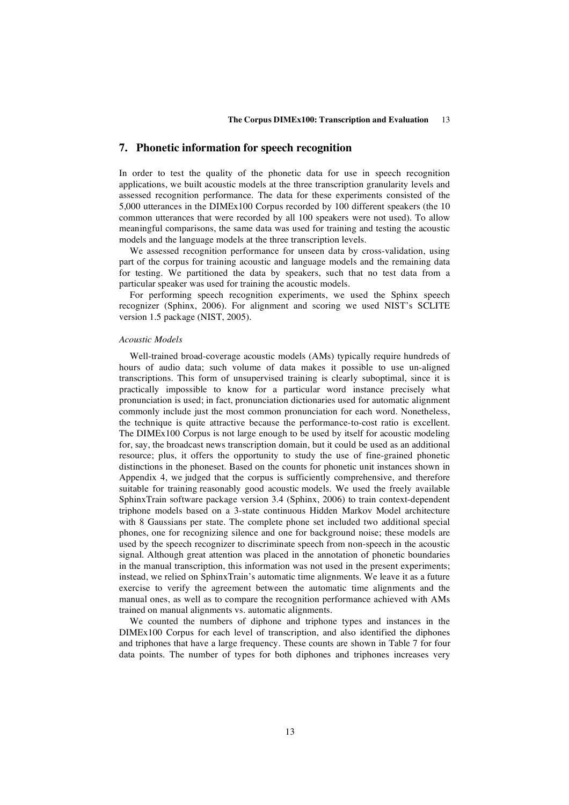#### **7. Phonetic information for speech recognition**

In order to test the quality of the phonetic data for use in speech recognition applications, we built acoustic models at the three transcription granularity levels and assessed recognition performance. The data for these experiments consisted of the 5,000 utterances in the DIMEx100 Corpus recorded by 100 different speakers (the 10 common utterances that were recorded by all 100 speakers were not used). To allow meaningful comparisons, the same data was used for training and testing the acoustic models and the language models at the three transcription levels.

We assessed recognition performance for unseen data by cross-validation, using part of the corpus for training acoustic and language models and the remaining data for testing. We partitioned the data by speakers, such that no test data from a particular speaker was used for training the acoustic models.

For performing speech recognition experiments, we used the Sphinx speech recognizer (Sphinx, 2006). For alignment and scoring we used NIST's SCLITE version 1.5 package (NIST, 2005).

#### *Acoustic Models*

Well-trained broad-coverage acoustic models (AMs) typically require hundreds of hours of audio data; such volume of data makes it possible to use un-aligned transcriptions. This form of unsupervised training is clearly suboptimal, since it is practically impossible to know for a particular word instance precisely what pronunciation is used; in fact, pronunciation dictionaries used for automatic alignment commonly include just the most common pronunciation for each word. Nonetheless, the technique is quite attractive because the performance-to-cost ratio is excellent. The DIMEx100 Corpus is not large enough to be used by itself for acoustic modeling for, say, the broadcast news transcription domain, but it could be used as an additional resource; plus, it offers the opportunity to study the use of fine-grained phonetic distinctions in the phoneset. Based on the counts for phonetic unit instances shown in Appendix 4, we judged that the corpus is sufficiently comprehensive, and therefore suitable for training reasonably good acoustic models. We used the freely available SphinxTrain software package version 3.4 (Sphinx, 2006) to train context-dependent triphone models based on a 3-state continuous Hidden Markov Model architecture with 8 Gaussians per state. The complete phone set included two additional special phones, one for recognizing silence and one for background noise; these models are used by the speech recognizer to discriminate speech from non-speech in the acoustic signal. Although great attention was placed in the annotation of phonetic boundaries in the manual transcription, this information was not used in the present experiments; instead, we relied on SphinxTrain's automatic time alignments. We leave it as a future exercise to verify the agreement between the automatic time alignments and the manual ones, as well as to compare the recognition performance achieved with AMs trained on manual alignments vs. automatic alignments.

We counted the numbers of diphone and triphone types and instances in the DIMEx100 Corpus for each level of transcription, and also identified the diphones and triphones that have a large frequency. These counts are shown in Table 7 for four data points. The number of types for both diphones and triphones increases very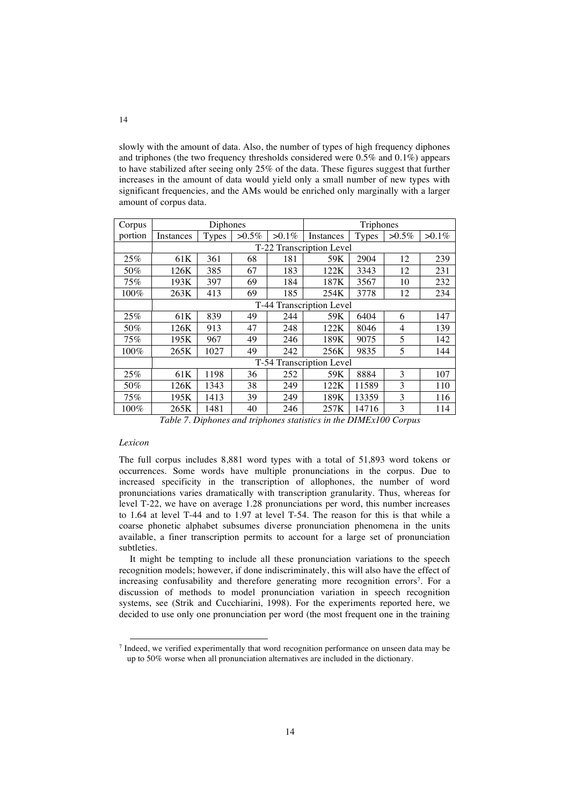slowly with the amount of data. Also, the number of types of high frequency diphones and triphones (the two frequency thresholds considered were 0.5% and 0.1%) appears to have stabilized after seeing only 25% of the data. These figures suggest that further increases in the amount of data would yield only a small number of new types with significant frequencies, and the AMs would be enriched only marginally with a larger amount of corpus data.

| Corpus  |                 | Diphones |          |                          | Triphones                |              |                |          |
|---------|-----------------|----------|----------|--------------------------|--------------------------|--------------|----------------|----------|
| portion | Instances       | Types    | $>0.5\%$ | $>0.1\%$                 | Instances                | <b>Types</b> | $>0.5\%$       | $>0.1\%$ |
|         |                 |          |          | T-22 Transcription Level |                          |              |                |          |
| 25%     | 61 <sub>K</sub> | 361      | 68       | 181                      | 59K                      | 2904         | 12             | 239      |
| 50%     | 126K            | 385      | 67       | 183                      | 122K                     | 3343         | 12             | 231      |
| 75%     | 193K            | 397      | 69       | 184                      | 187K                     | 3567         | 10             | 232      |
| $100\%$ | 263K            | 413      | 69       | 185                      | 254K                     | 3778         | 12             | 234      |
|         |                 |          |          |                          | T-44 Transcription Level |              |                |          |
| 25%     | 61 <sub>K</sub> | 839      | 49       | 244                      | 59K                      | 6404         | 6              | 147      |
| 50%     | 126K            | 913      | 47       | 248                      | 122K                     | 8046         | 4              | 139      |
| 75%     | 195K            | 967      | 49       | 246                      | 189K                     | 9075         | 5              | 142      |
| 100%    | 265K            | 1027     | 49       | 242                      | 256K                     | 9835         | $\overline{5}$ | 144      |
|         |                 |          |          |                          | T-54 Transcription Level |              |                |          |
| 25%     | 61K             | 1198     | 36       | 252                      | 59K                      | 8884         | 3              | 107      |
| 50%     | 126K            | 1343     | 38       | 249                      | 122K                     | 11589        | 3              | 110      |
| 75%     | 195K            | 1413     | 39       | 249                      | 189K                     | 13359        | 3              | 116      |
| $100\%$ | 265K            | 1481     | 40       | 246                      | 257K                     | 14716        | 3              | 114      |

*Table 7. Diphones and triphones statistics in the DIMEx100 Corpus*

#### *Lexicon*

The full corpus includes 8,881 word types with a total of 51,893 word tokens or occurrences. Some words have multiple pronunciations in the corpus. Due to increased specificity in the transcription of allophones, the number of word pronunciations varies dramatically with transcription granularity. Thus, whereas for level T-22, we have on average 1.28 pronunciations per word, this number increases to 1.64 at level T-44 and to 1.97 at level T-54. The reason for this is that while a coarse phonetic alphabet subsumes diverse pronunciation phenomena in the units available, a finer transcription permits to account for a large set of pronunciation subtleties.

It might be tempting to include all these pronunciation variations to the speech recognition models; however, if done indiscriminately, this will also have the effect of increasing confusability and therefore generating more recognition errors<sup>7</sup>. For a discussion of methods to model pronunciation variation in speech recognition systems, see (Strik and Cucchiarini, 1998). For the experiments reported here, we decided to use only one pronunciation per word (the most frequent one in the training

 $<sup>7</sup>$  Indeed, we verified experimentally that word recognition performance on unseen data may be</sup> up to 50% worse when all pronunciation alternatives are included in the dictionary.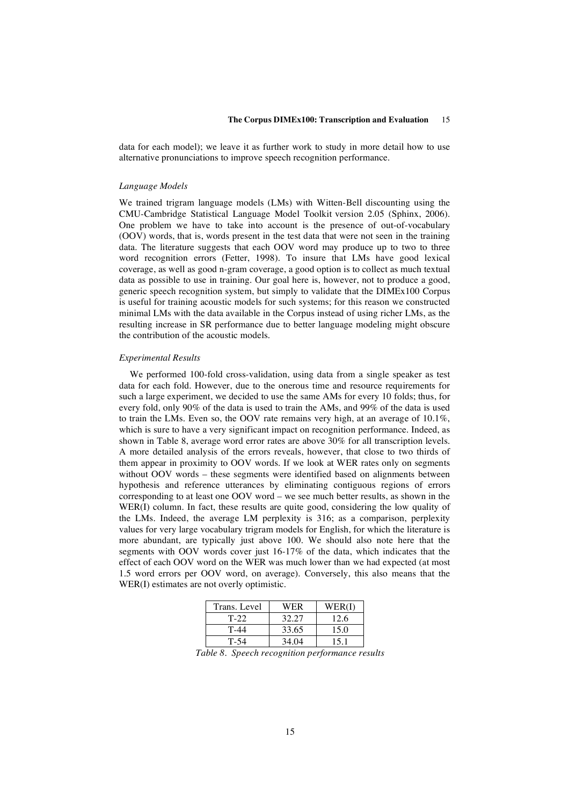data for each model); we leave it as further work to study in more detail how to use alternative pronunciations to improve speech recognition performance.

#### *Language Models*

We trained trigram language models (LMs) with Witten-Bell discounting using the CMU-Cambridge Statistical Language Model Toolkit version 2.05 (Sphinx, 2006). One problem we have to take into account is the presence of out-of-vocabulary (OOV) words, that is, words present in the test data that were not seen in the training data. The literature suggests that each OOV word may produce up to two to three word recognition errors (Fetter, 1998). To insure that LMs have good lexical coverage, as well as good n-gram coverage, a good option is to collect as much textual data as possible to use in training. Our goal here is, however, not to produce a good, generic speech recognition system, but simply to validate that the DIMEx100 Corpus is useful for training acoustic models for such systems; for this reason we constructed minimal LMs with the data available in the Corpus instead of using richer LMs, as the resulting increase in SR performance due to better language modeling might obscure the contribution of the acoustic models.

#### *Experimental Results*

We performed 100-fold cross-validation, using data from a single speaker as test data for each fold. However, due to the onerous time and resource requirements for such a large experiment, we decided to use the same AMs for every 10 folds; thus, for every fold, only 90% of the data is used to train the AMs, and 99% of the data is used to train the LMs. Even so, the OOV rate remains very high, at an average of 10.1%, which is sure to have a very significant impact on recognition performance. Indeed, as shown in Table 8, average word error rates are above 30% for all transcription levels. A more detailed analysis of the errors reveals, however, that close to two thirds of them appear in proximity to OOV words. If we look at WER rates only on segments without OOV words – these segments were identified based on alignments between hypothesis and reference utterances by eliminating contiguous regions of errors corresponding to at least one OOV word – we see much better results, as shown in the WER(I) column. In fact, these results are quite good, considering the low quality of the LMs. Indeed, the average LM perplexity is 316; as a comparison, perplexity values for very large vocabulary trigram models for English, for which the literature is more abundant, are typically just above 100. We should also note here that the segments with OOV words cover just 16-17% of the data, which indicates that the effect of each OOV word on the WER was much lower than we had expected (at most 1.5 word errors per OOV word, on average). Conversely, this also means that the WER(I) estimates are not overly optimistic.

| Trans. Level | WER   | <b>WER</b> (I) |
|--------------|-------|----------------|
| $T-22$       | 32.27 | 12.6           |
| $T-44$       | 33.65 | 15.0           |
| T-54         | 34.04 | 15.1           |

*Table 8. Speech recognition performance results*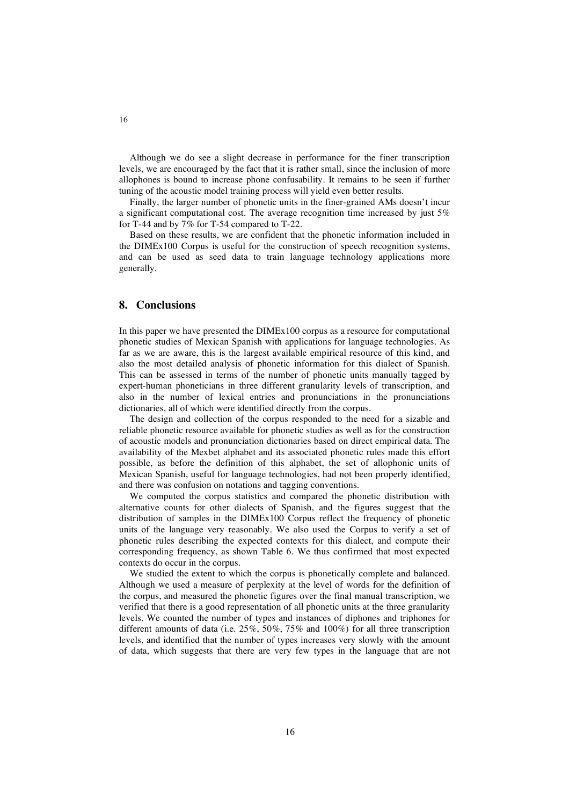Although we do see a slight decrease in performance for the finer transcription levels, we are encouraged by the fact that it is rather small, since the inclusion of more allophones is bound to increase phone confusability. It remains to be seen if further tuning of the acoustic model training process will yield even better results.

Finally, the larger number of phonetic units in the finer-grained AMs doesn't incur a significant computational cost. The average recognition time increased by just 5% for T-44 and by 7% for T-54 compared to T-22.

Based on these results, we are confident that the phonetic information included in the DIMEx100 Corpus is useful for the construction of speech recognition systems, and can be used as seed data to train language technology applications more generally.

### **8. Conclusions**

In this paper we have presented the DIMEx100 corpus as a resource for computational phonetic studies of Mexican Spanish with applications for language technologies. As far as we are aware, this is the largest available empirical resource of this kind, and also the most detailed analysis of phonetic information for this dialect of Spanish. This can be assessed in terms of the number of phonetic units manually tagged by expert-human phoneticians in three different granularity levels of transcription, and also in the number of lexical entries and pronunciations in the pronunciations dictionaries, all of which were identified directly from the corpus.

The design and collection of the corpus responded to the need for a sizable and reliable phonetic resource available for phonetic studies as well as for the construction of acoustic models and pronunciation dictionaries based on direct empirical data. The availability of the Mexbet alphabet and its associated phonetic rules made this effort possible, as before the definition of this alphabet, the set of allophonic units of Mexican Spanish, useful for language technologies, had not been properly identified, and there was confusion on notations and tagging conventions.

We computed the corpus statistics and compared the phonetic distribution with alternative counts for other dialects of Spanish, and the figures suggest that the distribution of samples in the DIMEx100 Corpus reflect the frequency of phonetic units of the language very reasonably. We also used the Corpus to verify a set of phonetic rules describing the expected contexts for this dialect, and compute their corresponding frequency, as shown Table 6. We thus confirmed that most expected contexts do occur in the corpus.

We studied the extent to which the corpus is phonetically complete and balanced. Although we used a measure of perplexity at the level of words for the definition of the corpus, and measured the phonetic figures over the final manual transcription, we verified that there is a good representation of all phonetic units at the three granularity levels. We counted the number of types and instances of diphones and triphones for different amounts of data (i.e. 25%, 50%, 75% and 100%) for all three transcription levels, and identified that the number of types increases very slowly with the amount of data, which suggests that there are very few types in the language that are not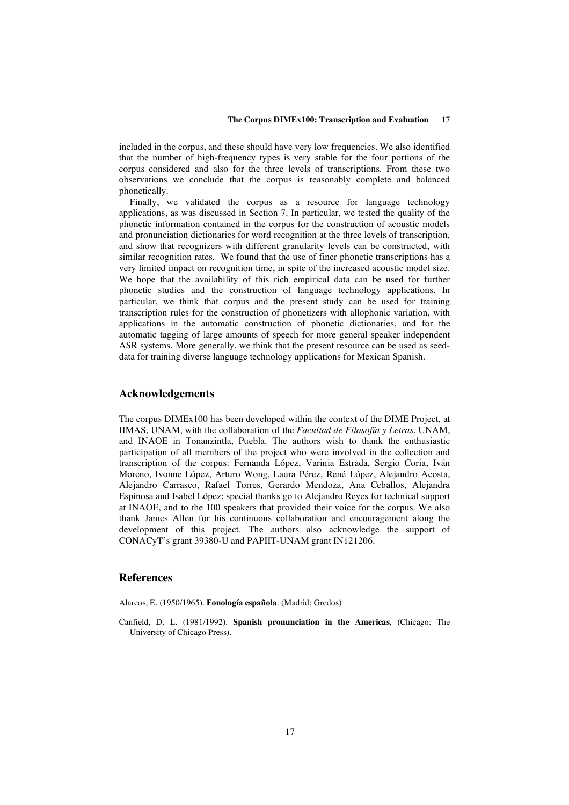included in the corpus, and these should have very low frequencies. We also identified that the number of high-frequency types is very stable for the four portions of the corpus considered and also for the three levels of transcriptions. From these two observations we conclude that the corpus is reasonably complete and balanced phonetically.

Finally, we validated the corpus as a resource for language technology applications, as was discussed in Section 7. In particular, we tested the quality of the phonetic information contained in the corpus for the construction of acoustic models and pronunciation dictionaries for word recognition at the three levels of transcription, and show that recognizers with different granularity levels can be constructed, with similar recognition rates. We found that the use of finer phonetic transcriptions has a very limited impact on recognition time, in spite of the increased acoustic model size. We hope that the availability of this rich empirical data can be used for further phonetic studies and the construction of language technology applications. In particular, we think that corpus and the present study can be used for training transcription rules for the construction of phonetizers with allophonic variation, with applications in the automatic construction of phonetic dictionaries, and for the automatic tagging of large amounts of speech for more general speaker independent ASR systems. More generally, we think that the present resource can be used as seeddata for training diverse language technology applications for Mexican Spanish.

#### **Acknowledgements**

The corpus DIMEx100 has been developed within the context of the DIME Project, at IIMAS, UNAM, with the collaboration of the *Facultad de Filosofía y Letras*, UNAM, and INAOE in Tonanzintla, Puebla. The authors wish to thank the enthusiastic participation of all members of the project who were involved in the collection and transcription of the corpus: Fernanda López, Varinia Estrada, Sergio Coria, Iván Moreno, Ivonne López, Arturo Wong, Laura Pérez, René López, Alejandro Acosta, Alejandro Carrasco, Rafael Torres, Gerardo Mendoza, Ana Ceballos, Alejandra Espinosa and Isabel López; special thanks go to Alejandro Reyes for technical support at INAOE, and to the 100 speakers that provided their voice for the corpus. We also thank James Allen for his continuous collaboration and encouragement along the development of this project. The authors also acknowledge the support of CONACyT's grant 39380-U and PAPIIT-UNAM grant IN121206.

### **References**

Alarcos, E. (1950/1965). **Fonología española***.* (Madrid: Gredos)

Canfield, D. L. (1981/1992). **Spanish pronunciation in the Americas**, (Chicago: The University of Chicago Press).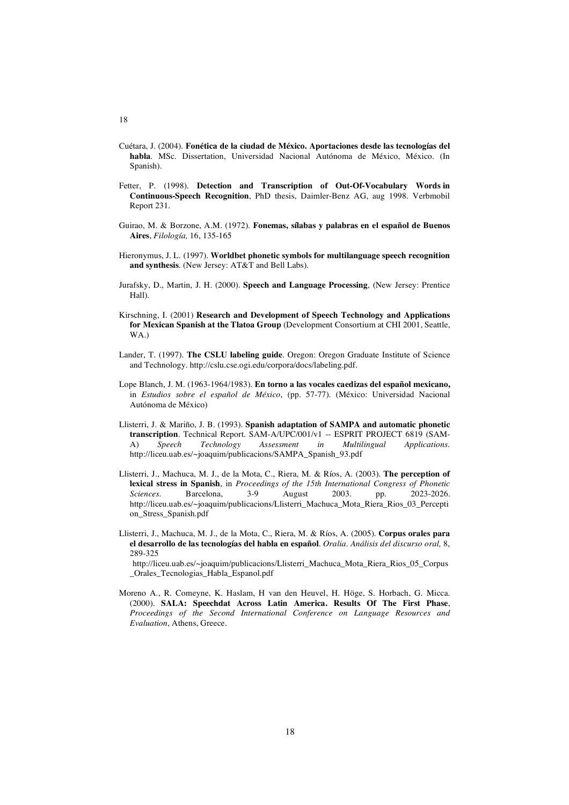- Cuétara, J. (2004). **Fonética de la ciudad de México. Aportaciones desde las tecnologías del habla**. MSc. Dissertation, Universidad Nacional Autónoma de México, México. (In Spanish).
- Fetter, P. (1998). **Detection and Transcription of Out-Of-Vocabulary Words in Continuous-Speech Recognition**, PhD thesis, Daimler-Benz AG, aug 1998. Verbmobil Report 231.
- Guirao, M. & Borzone, A.M. (1972). **Fonemas, sílabas y palabras en el español de Buenos Aires**, *Filología,* 16, 135-165
- Hieronymus, J. L. (1997). **Worldbet phonetic symbols for multilanguage speech recognition and synthesis**. (New Jersey: AT&T and Bell Labs).
- Jurafsky, D., Martin, J. H. (2000). **Speech and Language Processing**, (New Jersey: Prentice Hall).
- Kirschning, I. (2001) **Research and Development of Speech Technology and Applications for Mexican Spanish at the Tlatoa Group** (Development Consortium at CHI 2001, Seattle, WA.)
- Lander, T. (1997). **The CSLU labeling guide**. Oregon: Oregon Graduate Institute of Science and Technology. http://cslu.cse.ogi.edu/corpora/docs/labeling.pdf.
- Lope Blanch, J. M. (1963-1964/1983). **En torno a las vocales caedizas del español mexicano,** in *Estudios sobre el español de México*, (pp. 57-77). (México: Universidad Nacional Autónoma de México)
- Llisterri, J. & Mariño, J. B. (1993). **Spanish adaptation of SAMPA and automatic phonetic transcription**. Technical Report. SAM-A/UPC/001/v1 -- ESPRIT PROJECT 6819 (SAM-A) *Speech Technology Assessment in Multilingual Applications*. http://liceu.uab.es/~joaquim/publicacions/SAMPA\_Spanish\_93.pdf
- Llisterri, J., Machuca, M. J., de la Mota, C., Riera, M. & Ríos, A. (2003). **The perception of lexical stress in Spanish**, in *Proceedings of the 15th International Congress of Phonetic Sciences*. Barcelona, 3-9 August 2003. pp. 2023-2026. http://liceu.uab.es/~joaquim/publicacions/Llisterri\_Machuca\_Mota\_Riera\_Rios\_03\_Percepti on\_Stress\_Spanish.pdf
- Llisterri, J., Machuca, M. J., de la Mota, C., Riera, M. & Ríos, A. (2005). **Corpus orales para el desarrollo de las tecnologías del habla en español**. *Oralia. Análisis del discurso oral,* 8, 289-325 http://liceu.uab.es/~joaquim/publicacions/Llisterri\_Machuca\_Mota\_Riera\_Rios\_05\_Corpus

\_Orales\_Tecnologias\_Habla\_Espanol.pdf

Moreno A., R. Comeyne, K. Haslam, H van den Heuvel, H. Höge, S. Horbach, G. Micca. (2000). **SALA: Speechdat Across Latin America. Results Of The First Phase**, *Proceedings of the Second International Conference on Language Resources and Evaluation*, Athens, Greece.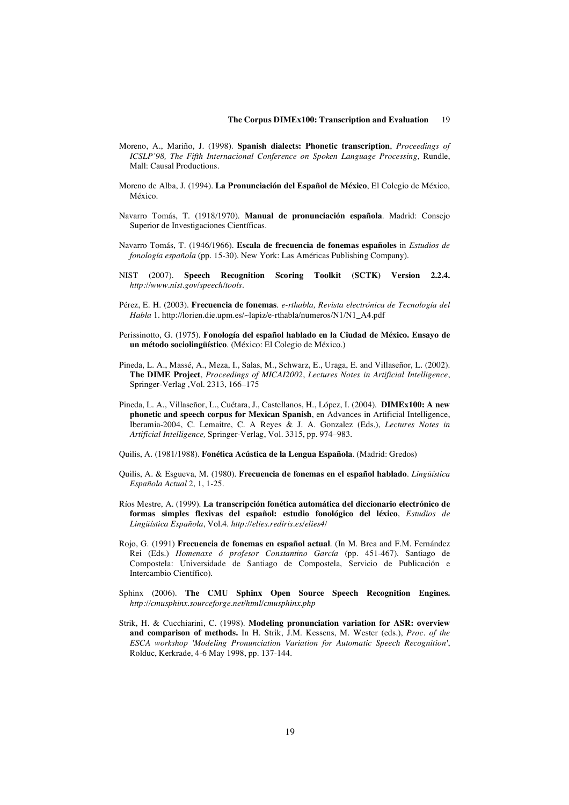- Moreno, A., Mariño, J. (1998). **Spanish dialects: Phonetic transcription**, *Proceedings of ICSLP'98, The Fifth Internacional Conference on Spoken Language Processing*, Rundle, Mall: Causal Productions.
- Moreno de Alba, J. (1994). **La Pronunciación del Español de México**, El Colegio de México, México.
- Navarro Tomás, T. (1918/1970). **Manual de pronunciación española**. Madrid: Consejo Superior de Investigaciones Científicas.
- Navarro Tomás, T. (1946/1966). **Escala de frecuencia de fonemas españoles** in *Estudios de fonología española* (pp. 15-30). New York: Las Américas Publishing Company).
- NIST (2007). **Speech Recognition Scoring Toolkit (SCTK) Version 2.2.4.** *http://www.nist.gov/speech/tools.*
- Pérez, E. H. (2003). **Frecuencia de fonemas**. *e-rthabla, Revista electrónica de Tecnología del Habla* 1. http://lorien.die.upm.es/~lapiz/e-rthabla/numeros/N1/N1\_A4.pdf
- Perissinotto, G. (1975). **Fonología del español hablado en la Ciudad de México. Ensayo de un método sociolingüístico**. (México: El Colegio de México.)
- Pineda, L. A., Massé, A., Meza, I., Salas, M., Schwarz, E., Uraga, E. and Villaseñor, L. (2002). **The DIME Project**, *Proceedings of MICAI2002*, *Lectures Notes in Artificial Intelligence*, Springer-Verlag ,Vol. 2313, 166–175
- Pineda, L. A., Villaseñor, L., Cuétara, J., Castellanos, H., López, I. (2004). **DIMEx100: A new phonetic and speech corpus for Mexican Spanish**, en Advances in Artificial Intelligence, Iberamia-2004, C. Lemaitre, C. A Reyes & J. A. Gonzalez (Eds.), *Lectures Notes in Artificial Intelligence,* Springer-Verlag, Vol. 3315, pp. 974–983.
- Quilis, A. (1981/1988). **Fonética Acústica de la Lengua Española**. (Madrid: Gredos)
- Quilis, A. & Esgueva, M. (1980). **Frecuencia de fonemas en el español hablado**. *Lingüística Española Actual* 2, 1, 1-25.
- Ríos Mestre, A. (1999). **La transcripción fonética automática del diccionario electrónico de formas simples flexivas del español: estudio fonológico del léxico**, *Estudios de Lingüística Española*, Vol.4. *http://elies.rediris.es/elies4/*
- Rojo, G. (1991) **Frecuencia de fonemas en español actual**. (In M. Brea and F.M. Fernández Rei (Eds.) *Homenaxe ó profesor Constantino García* (pp. 451-467). Santiago de Compostela: Universidade de Santiago de Compostela, Servicio de Publicación e Intercambio Científico).
- Sphinx (2006). **The CMU Sphinx Open Source Speech Recognition Engines.** *http://cmusphinx.sourceforge.net/html/cmusphinx.php*
- Strik, H. & Cucchiarini, C. (1998). **Modeling pronunciation variation for ASR: overview and comparison of methods.** In H. Strik, J.M. Kessens, M. Wester (eds.), *Proc. of the ESCA workshop 'Modeling Pronunciation Variation for Automatic Speech Recognition'*, Rolduc, Kerkrade, 4-6 May 1998, pp. 137-144.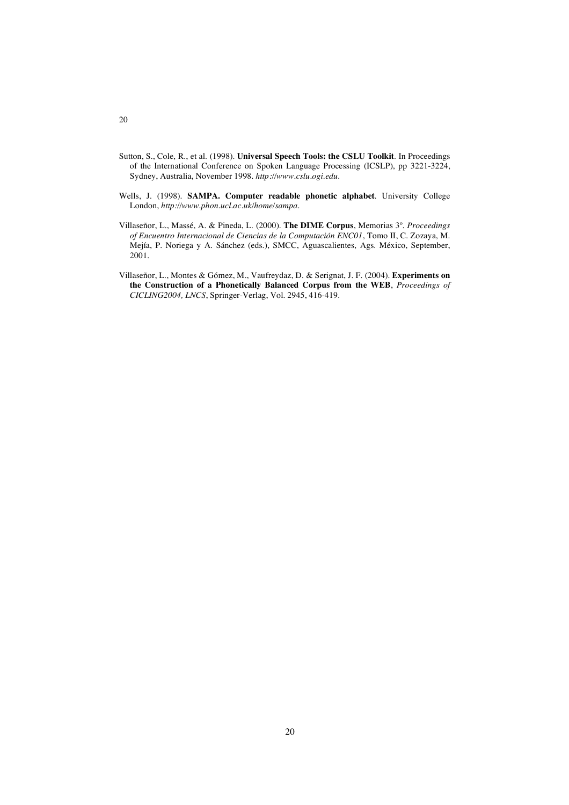- Sutton, S., Cole, R., et al. (1998). **Universal Speech Tools: the CSLU Toolkit**. In Proceedings of the International Conference on Spoken Language Processing (ICSLP), pp 3221-3224, Sydney, Australia, November 1998. *http://www.cslu.ogi.edu*.
- Wells, J. (1998). **SAMPA. Computer readable phonetic alphabet**. University College London, *http://www.phon.ucl.ac.uk/home/sampa*.
- Villaseñor, L., Massé, A. & Pineda, L. (2000). **The DIME Corpus**, Memorias 3º. *Proceedings of Encuentro Internacional de Ciencias de la Computación ENC01*, Tomo II, C. Zozaya, M. Mejía, P. Noriega y A. Sánchez (eds.), SMCC, Aguascalientes, Ags. México, September, 2001.
- Villaseñor, L., Montes & Gómez, M., Vaufreydaz, D. & Serignat, J. F. (2004). **Experiments on the Construction of a Phonetically Balanced Corpus from the WEB**, *Proceedings of CICLING2004, LNCS*, Springer-Verlag, Vol. 2945, 416-419.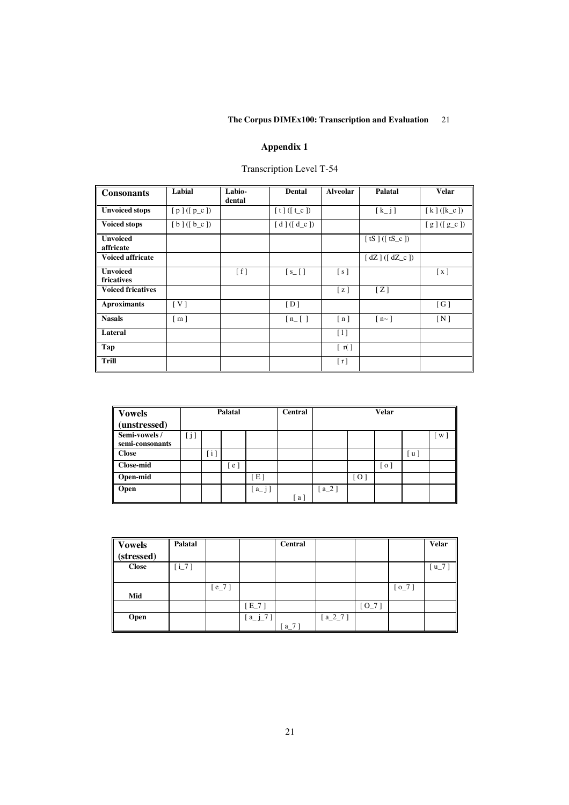# **Appendix 1**

| <b>Consonants</b>             | Labial            | Labio-<br>dental | Dental                                   | <b>Alveolar</b>   | Palatal                                     | <b>Velar</b>      |
|-------------------------------|-------------------|------------------|------------------------------------------|-------------------|---------------------------------------------|-------------------|
| <b>Unvoiced</b> stops         | $[p]([p_c])$      |                  | $[t](t_c)$                               |                   | $[k_j]$                                     | $[k](k_c)$        |
| <b>Voiced stops</b>           | $[b](b_c)$        |                  | $\left[ d \right] (\left[ d_c \right] )$ |                   |                                             | $[g](g_c)$        |
| <b>Unvoiced</b><br>affricate  |                   |                  |                                          |                   | $[$ tS $]$ ( $[$ tS $\_$ c $]$ )            |                   |
| <b>Voiced affricate</b>       |                   |                  |                                          |                   | $\lceil dZ \rceil$ ( $\lceil dZ_c \rceil$ ) |                   |
| <b>Unvoiced</b><br>fricatives |                   | [f]              | $[s_{-}[\ ]$                             | [s]               |                                             | [x]               |
| <b>Voiced fricatives</b>      |                   |                  |                                          | $\lceil z \rceil$ | [Z]                                         |                   |
| <b>Aproximants</b>            | [V]               |                  | [D]                                      |                   |                                             | [G]               |
| <b>Nasals</b>                 | $\lceil m \rceil$ |                  | $[n_{-}[$ ]                              | $\lceil n \rceil$ | $\lceil n \sim \rceil$                      | $\lceil N \rceil$ |
| Lateral                       |                   |                  |                                          |                   |                                             |                   |
| Tap                           |                   |                  |                                          | $[r($ ]           |                                             |                   |
| Trill                         |                   |                  |                                          | [r]               |                                             |                   |

# Transcription Level T-54

| <b>Vowels</b>                    |                     | Palatal           |   |           |   | <b>Velar</b> |     |         |   |               |
|----------------------------------|---------------------|-------------------|---|-----------|---|--------------|-----|---------|---|---------------|
| (unstressed)                     |                     |                   |   |           |   |              |     |         |   |               |
| Semi-vowels /<br>semi-consonants | $\lfloor j \rfloor$ |                   |   |           |   |              |     |         |   | $\mid w \mid$ |
| <b>Close</b>                     |                     | $\lceil i \rceil$ |   |           |   |              |     |         | u |               |
| <b>Close-mid</b>                 |                     |                   | e |           |   |              |     | $\circ$ |   |               |
| Open-mid                         |                     |                   |   | $E$ ]     |   |              | [O] |         |   |               |
| Open                             |                     |                   |   | $a_{j}$ ] |   | $[a_2]$      |     |         |   |               |
|                                  |                     |                   |   |           | a |              |     |         |   |               |

| <b>Vowels</b><br>II | Palatal |           |           | <b>Central</b> |          |         |       | <b>Velar</b> |
|---------------------|---------|-----------|-----------|----------------|----------|---------|-------|--------------|
| (stressed)          |         |           |           |                |          |         |       |              |
| <b>Close</b>        | $[i_7]$ |           |           |                |          |         |       | $[u_7]$      |
|                     |         |           |           |                |          |         |       |              |
|                     |         | $e_{7}$ ] |           |                |          |         | [0.7] |              |
| Mid                 |         |           |           |                |          |         |       |              |
|                     |         |           | $E_7$ ]   |                |          | $[0_7]$ |       |              |
| Open                |         |           | $[a_j^2]$ |                | $a_{27}$ |         |       |              |
|                     |         |           |           | $a_7$ ]        |          |         |       |              |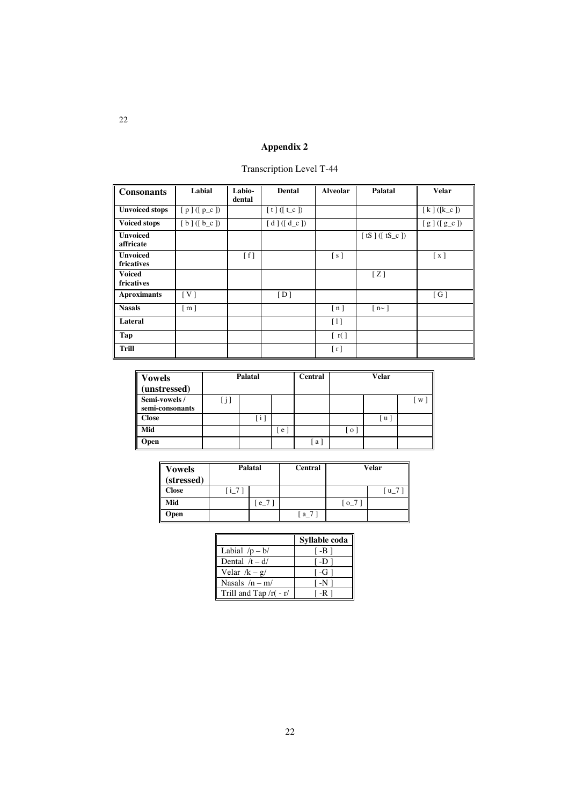# **Appendix 2**

| <b>Consonants</b>             | Labial            | Labio- | <b>Dental</b>     | <b>Alveolar</b>   | Palatal                          | <b>Velar</b>      |
|-------------------------------|-------------------|--------|-------------------|-------------------|----------------------------------|-------------------|
|                               |                   | dental |                   |                   |                                  |                   |
| <b>Unvoiced stops</b>         | $[p]([p_c])$      |        | $[t](t_c)$        |                   |                                  | $[k](k_c)$        |
| <b>Voiced stops</b>           | $[b](b_c)$        |        | $[d](\vdash d_c)$ |                   |                                  | $[g](g_c)$        |
| <b>Unvoiced</b><br>affricate  |                   |        |                   |                   | $[$ tS $]$ ( $[$ tS $\_$ c $]$ ) |                   |
| <b>Unvoiced</b><br>fricatives |                   | [f]    |                   | [s]               |                                  | [x]               |
| <b>Voiced</b><br>fricatives   |                   |        |                   |                   | [Z]                              |                   |
| <b>Aproximants</b>            | [V]               |        | [D]               |                   |                                  | $\lceil G \rceil$ |
| <b>Nasals</b>                 | $\lceil m \rceil$ |        |                   | $\lceil n \rceil$ | $[n \sim]$                       |                   |
| Lateral                       |                   |        |                   | $[1]$             |                                  |                   |
| Tap                           |                   |        |                   | $[r($ ]           |                                  |                   |
| <b>Trill</b>                  |                   |        |                   | [r]               |                                  |                   |

# Transcription Level T-44

| Vowels<br>(unstres               | Palatal |     |   | Central | <b>Velar</b> |   |   |
|----------------------------------|---------|-----|---|---------|--------------|---|---|
| (unstressed)                     |         |     |   |         |              |   |   |
| Semi-vowels /<br>semi-consonants | UJ      |     |   |         |              |   | W |
|                                  |         |     |   |         |              |   |   |
| <b>Close</b>                     |         | [i] |   |         |              | u |   |
| Mid                              |         |     | e |         | $\sqrt{6}$   |   |   |
| ℾ<br>Open                        |         |     |   | l a     |              |   |   |

| <b>Vowels</b><br>(stressed) | Palatal |         | <b>Central</b>          | Velar             |                      |
|-----------------------------|---------|---------|-------------------------|-------------------|----------------------|
| <b>Close</b>                | $1/7$ ] |         |                         |                   | $\left( u_2 \right)$ |
| Mid                         |         | $e_{7}$ |                         | $\lceil 0 \rceil$ |                      |
| Open                        |         |         | $\lceil a_{-} 7 \rceil$ |                   |                      |

|                              | Syllable coda      |
|------------------------------|--------------------|
| Labial $/p - b$              | [ -B ]             |
| Dental $/t - d/$             | [ -D ]             |
| Velar $/k - g/$              | [ -G ]             |
| Nasals $/n - m/$             | [ -N ]             |
| Trill and Tap $/r$ ( $- r$ / | $\lceil -R \rceil$ |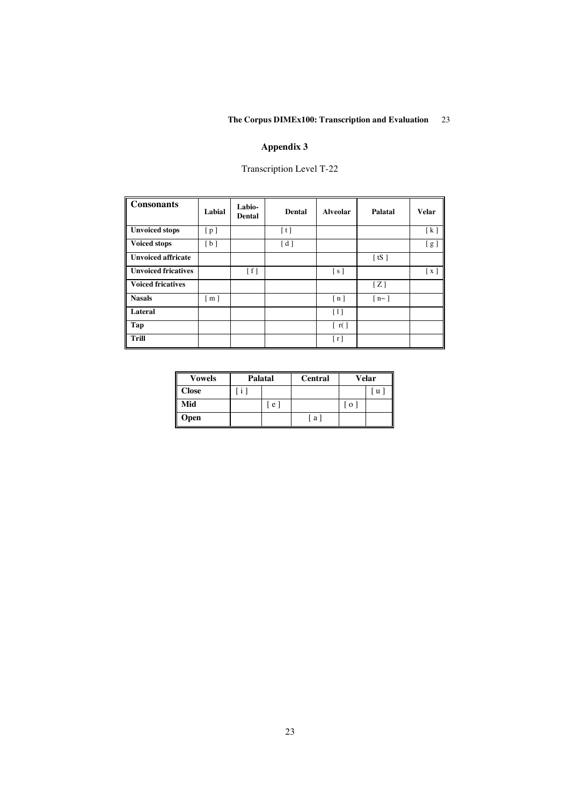# **Appendix 3**

# Transcription Level T-22

| <b>Consonants</b>          | Labial            | Labio-<br>Dental | <b>Dental</b> | <b>Alveolar</b>      | Palatal                | <b>Velar</b>      |
|----------------------------|-------------------|------------------|---------------|----------------------|------------------------|-------------------|
| <b>Unvoiced stops</b>      | [p]               |                  | [t]           |                      |                        | [k]               |
| <b>Voiced stops</b>        | [b]               |                  | [d]           |                      |                        | [g]               |
| <b>Unvoiced affricate</b>  |                   |                  |               |                      | [tS]                   |                   |
| <b>Unvoiced fricatives</b> |                   | [f]              |               | [s]                  |                        | $\lceil x \rceil$ |
| <b>Voiced fricatives</b>   |                   |                  |               |                      | [Z]                    |                   |
| <b>Nasals</b>              | $\lceil m \rceil$ |                  |               | $\lceil n \rceil$    | $\lceil n \sim \rceil$ |                   |
| Lateral                    |                   |                  |               | $[1]$                |                        |                   |
| Tap                        |                   |                  |               | $\lceil$ r( $\rceil$ |                        |                   |
| <b>Trill</b>               |                   |                  |               | [r]                  |                        |                   |

| <b>Vowels</b> | Palatal |                | <b>Central</b> |              | Velar |
|---------------|---------|----------------|----------------|--------------|-------|
| <b>Close</b>  |         |                |                |              | u     |
| Mid           |         | e <sub>1</sub> |                | $\mathbf{o}$ |       |
| <b>Open</b>   |         |                | a              |              |       |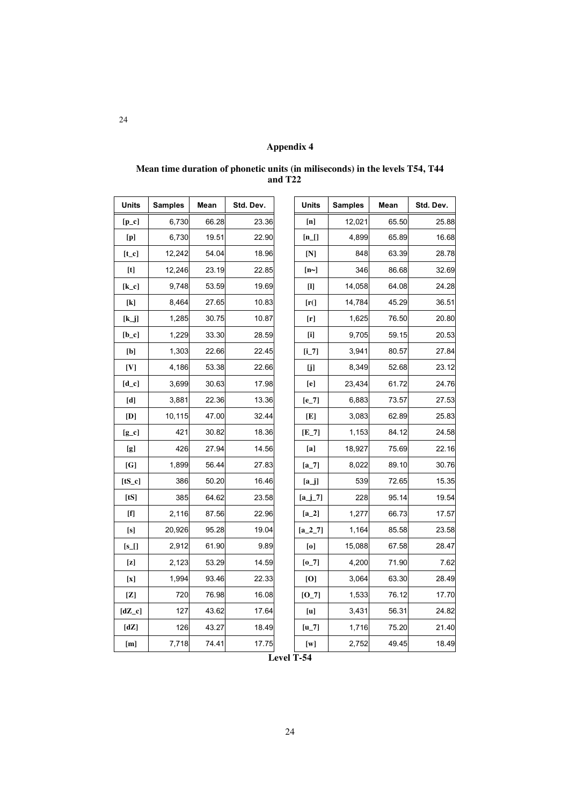# **Appendix 4**

| <b>Samples</b> | Mean  | Std. Dev. | <b>Units</b>                                                                                                                                                                                                                                                                                                                                                                                                                                                                                                                                                               | <b>Samples</b> | Mean  | Std. Dev.                                                                       |
|----------------|-------|-----------|----------------------------------------------------------------------------------------------------------------------------------------------------------------------------------------------------------------------------------------------------------------------------------------------------------------------------------------------------------------------------------------------------------------------------------------------------------------------------------------------------------------------------------------------------------------------------|----------------|-------|---------------------------------------------------------------------------------|
| 6,730          | 66.28 | 23.36     | [n]                                                                                                                                                                                                                                                                                                                                                                                                                                                                                                                                                                        | 12,021         | 65.50 | 25.8                                                                            |
| 6,730          | 19.51 | 22.90     | $[n_{\_}]$                                                                                                                                                                                                                                                                                                                                                                                                                                                                                                                                                                 | 4,899          | 65.89 | 16.0                                                                            |
| 12,242         | 54.04 | 18.96     | $[{\bf N}]$                                                                                                                                                                                                                                                                                                                                                                                                                                                                                                                                                                | 848            | 63.39 | 28.                                                                             |
| 12,246         | 23.19 | 22.85     | $\left[\mathbf{n}\!\!\sim\!\!\right]$                                                                                                                                                                                                                                                                                                                                                                                                                                                                                                                                      | 346            | 86.68 | 32.6                                                                            |
| 9,748          | 53.59 | 19.69     | $[1] % \begin{center} % \includegraphics[width=\linewidth]{imagesSupplemental_3.png} % \end{center} % \caption { % Our method is used for the method. % The method is used for the method. % The method is used for the method. % The method is used for the method. % } % \label{fig:example} %$                                                                                                                                                                                                                                                                          |                | 64.08 | 24.2                                                                            |
| 8,464          | 27.65 | 10.83     | [r(                                                                                                                                                                                                                                                                                                                                                                                                                                                                                                                                                                        | 14,784         | 45.29 | 36.5                                                                            |
| 1,285          | 30.75 | 10.87     | $\left[ \mathbf{r}\right]$                                                                                                                                                                                                                                                                                                                                                                                                                                                                                                                                                 |                | 76.50 | 20.8                                                                            |
| 1,229          | 33.30 | 28.59     |                                                                                                                                                                                                                                                                                                                                                                                                                                                                                                                                                                            |                | 59.15 | 20.5                                                                            |
| 1,303          | 22.66 | 22.45     | $[i_7]$                                                                                                                                                                                                                                                                                                                                                                                                                                                                                                                                                                    | 3,941          | 80.57 | 27.8                                                                            |
| 4,186          | 53.38 | 22.66     | [j]                                                                                                                                                                                                                                                                                                                                                                                                                                                                                                                                                                        | 8,349          | 52.68 | 23.7                                                                            |
| 3,699          | 30.63 | 17.98     | $[e] \centering% \includegraphics[width=1.0\textwidth]{figs/fig_0a}% \includegraphics[width=1.0\textwidth]{figs/fig_0b}% \includegraphics[width=1.0\textwidth]{figs/fig_0b}% \includegraphics[width=1.0\textwidth]{figs/fig_0b}% \includegraphics[width=1.0\textwidth]{figs/fig_0b}% \includegraphics[width=1.0\textwidth]{figs/fig_0b}% \includegraphics[width=1.0\textwidth]{figs/fig_0b}% \includegraphics[width=1.0\textwidth]{figs/fig_0b}% \includegraphics[width=1.0\textwidth]{figs/fig_0b}% \includegraphics[width=1.0\textwidth]{figs/fig_0b}% \includegraphics$ | 23,434         | 61.72 | 24.                                                                             |
| 3,881          | 22.36 | 13.36     | $[e_7]$                                                                                                                                                                                                                                                                                                                                                                                                                                                                                                                                                                    | 6,883          | 73.57 | 27.5                                                                            |
| 10,115         | 47.00 |           | $[{\bf E}]$                                                                                                                                                                                                                                                                                                                                                                                                                                                                                                                                                                |                | 62.89 | 25.8                                                                            |
| 421            | 30.82 | 18.36     | $[E_7]$                                                                                                                                                                                                                                                                                                                                                                                                                                                                                                                                                                    |                | 84.12 | 24.5                                                                            |
| 426            | 27.94 |           | [a]                                                                                                                                                                                                                                                                                                                                                                                                                                                                                                                                                                        | 18,927         | 75.69 | 22.1                                                                            |
| 1,899          | 56.44 |           | $\left[ \mathrm{a\_7}\right]$                                                                                                                                                                                                                                                                                                                                                                                                                                                                                                                                              | 8,022          | 89.10 | 30.                                                                             |
| 386            | 50.20 | 16.46     | $[a_j]$                                                                                                                                                                                                                                                                                                                                                                                                                                                                                                                                                                    | 539            | 72.65 | 15.3                                                                            |
| 385            | 64.62 | 23.58     | $[a_j 7]$                                                                                                                                                                                                                                                                                                                                                                                                                                                                                                                                                                  | 228            | 95.14 | 19.5                                                                            |
| 2,116          | 87.56 |           | $[a_2]$                                                                                                                                                                                                                                                                                                                                                                                                                                                                                                                                                                    | 1,277          | 66.73 | 17.5                                                                            |
| 20,926         | 95.28 | 19.04     | $[a_27]$                                                                                                                                                                                                                                                                                                                                                                                                                                                                                                                                                                   | 1,164          | 85.58 | 23.5                                                                            |
| 2,912          | 61.90 | 9.89      | $\left[\mathbf{0}\right]$                                                                                                                                                                                                                                                                                                                                                                                                                                                                                                                                                  |                | 67.58 | 28.4                                                                            |
| 2,123          | 53.29 | 14.59     | $[0_7]$                                                                                                                                                                                                                                                                                                                                                                                                                                                                                                                                                                    | 4,200          | 71.90 | 7.6                                                                             |
| 1,994          | 93.46 | 22.33     | [O]                                                                                                                                                                                                                                                                                                                                                                                                                                                                                                                                                                        | 3,064          | 63.30 | 28.4                                                                            |
| 720            | 76.98 |           | $[O_7]$                                                                                                                                                                                                                                                                                                                                                                                                                                                                                                                                                                    |                | 76.12 | 17.                                                                             |
| 127            | 43.62 |           | $[u]$                                                                                                                                                                                                                                                                                                                                                                                                                                                                                                                                                                      | 3,431          | 56.31 | 24.8                                                                            |
| 126            | 43.27 | 18.49     | $[u_7]$                                                                                                                                                                                                                                                                                                                                                                                                                                                                                                                                                                    |                |       | 21.4                                                                            |
| 7,718          | 74.41 |           | [w]                                                                                                                                                                                                                                                                                                                                                                                                                                                                                                                                                                        | 2,752          | 49.45 | 18.4                                                                            |
|                |       |           | 32.44<br>14.56<br>27.83<br>22.96<br>16.08<br>17.64<br>17.75                                                                                                                                                                                                                                                                                                                                                                                                                                                                                                                |                |       | 14,058<br>1,625<br>9,705<br>3,083<br>1,153<br>15,088<br>1,533<br>75.20<br>1,716 |

| Mean time duration of phonetic units (in miliseconds) in the levels T54, T44 |  |
|------------------------------------------------------------------------------|--|
| and T22                                                                      |  |

| Units                                                                                                                                                                                                                                                                                      | <b>Samples</b> | Mean  | Std. Dev. | <b>Units</b>                                                                                                                                                                                                                                                                                                                                                                                                                                                                                                                                                               | <b>Samples</b> | Mean  | Std. Dev. |
|--------------------------------------------------------------------------------------------------------------------------------------------------------------------------------------------------------------------------------------------------------------------------------------------|----------------|-------|-----------|----------------------------------------------------------------------------------------------------------------------------------------------------------------------------------------------------------------------------------------------------------------------------------------------------------------------------------------------------------------------------------------------------------------------------------------------------------------------------------------------------------------------------------------------------------------------------|----------------|-------|-----------|
| $\left[\mathbf{p\_c}\right]$                                                                                                                                                                                                                                                               | 6,730          | 66.28 | 23.36     | $[n]$                                                                                                                                                                                                                                                                                                                                                                                                                                                                                                                                                                      | 12,021         | 65.50 | 25.88     |
| $[{\bf p}]$                                                                                                                                                                                                                                                                                | 6,730          | 19.51 | 22.90     | $[n_$ []                                                                                                                                                                                                                                                                                                                                                                                                                                                                                                                                                                   | 4,899          | 65.89 | 16.68     |
| $[t_c]$                                                                                                                                                                                                                                                                                    | 12,242         | 54.04 | 18.96     | [N]                                                                                                                                                                                                                                                                                                                                                                                                                                                                                                                                                                        | 848            | 63.39 | 28.78     |
|                                                                                                                                                                                                                                                                                            | 12,246         | 23.19 | 22.85     | $[n\sim]$                                                                                                                                                                                                                                                                                                                                                                                                                                                                                                                                                                  | 346            | 86.68 | 32.69     |
| $[k_c]$                                                                                                                                                                                                                                                                                    | 9,748          | 53.59 | 19.69     | $[1] % \centering \includegraphics[width=0.9\columnwidth]{figures/fig_1a} \caption{The average number of times on the left and right.} \label{fig:1} %$                                                                                                                                                                                                                                                                                                                                                                                                                    | 14,058         | 64.08 | 24.28     |
| $[{\bf k}]$                                                                                                                                                                                                                                                                                | 8,464          | 27.65 | 10.83     | [r(                                                                                                                                                                                                                                                                                                                                                                                                                                                                                                                                                                        | 14,784         | 45.29 | 36.51     |
| $[k_j]$                                                                                                                                                                                                                                                                                    | 1,285          | 30.75 | 10.87     | [r]                                                                                                                                                                                                                                                                                                                                                                                                                                                                                                                                                                        | 1,625          | 76.50 | 20.80     |
| $[b_c]$                                                                                                                                                                                                                                                                                    | 1,229          | 33.30 | 28.59     | $[1] % \includegraphics[width=0.9\columnwidth]{figures/fig_1a} \caption{The figure shows the number of times, and the number of times, and the number of times, and the number of times, are indicated with the same.} \label{fig:1} %$                                                                                                                                                                                                                                                                                                                                    | 9,705          | 59.15 | 20.53     |
| [b]                                                                                                                                                                                                                                                                                        | 1,303          | 22.66 | 22.45     | $[i_7]$                                                                                                                                                                                                                                                                                                                                                                                                                                                                                                                                                                    | 3,941          | 80.57 | 27.84     |
| $[{\bf V}]$                                                                                                                                                                                                                                                                                | 4,186          | 53.38 | 22.66     | [j]                                                                                                                                                                                                                                                                                                                                                                                                                                                                                                                                                                        | 8,349          | 52.68 | 23.12     |
| $[d_c]$                                                                                                                                                                                                                                                                                    | 3,699          | 30.63 | 17.98     | $[e] \centering% \includegraphics[width=1.0\textwidth]{figs/fig_0a}% \includegraphics[width=1.0\textwidth]{figs/fig_0b}% \includegraphics[width=1.0\textwidth]{figs/fig_0b}% \includegraphics[width=1.0\textwidth]{figs/fig_0b}% \includegraphics[width=1.0\textwidth]{figs/fig_0b}% \includegraphics[width=1.0\textwidth]{figs/fig_0b}% \includegraphics[width=1.0\textwidth]{figs/fig_0b}% \includegraphics[width=1.0\textwidth]{figs/fig_0b}% \includegraphics[width=1.0\textwidth]{figs/fig_0b}% \includegraphics[width=1.0\textwidth]{figs/fig_0b}% \includegraphics$ | 23,434         | 61.72 | 24.76     |
| $[\mathbf{d}]$                                                                                                                                                                                                                                                                             | 3,881          | 22.36 | 13.36     | $[e_7]$                                                                                                                                                                                                                                                                                                                                                                                                                                                                                                                                                                    | 6,883          | 73.57 | 27.53     |
| $\left[ \mathbf{D}\right]$                                                                                                                                                                                                                                                                 | 10,115         | 47.00 | 32.44     | $[{\bf E}]$                                                                                                                                                                                                                                                                                                                                                                                                                                                                                                                                                                | 3,083          | 62.89 | 25.83     |
| $[g_c]$                                                                                                                                                                                                                                                                                    | 421            | 30.82 | 18.36     | $[E_7]$                                                                                                                                                                                                                                                                                                                                                                                                                                                                                                                                                                    | 1,153          | 84.12 | 24.58     |
| [g]                                                                                                                                                                                                                                                                                        | 426            | 27.94 | 14.56     | [a]                                                                                                                                                                                                                                                                                                                                                                                                                                                                                                                                                                        | 18,927         | 75.69 | 22.16     |
| $\left[{\bf G}\right]$                                                                                                                                                                                                                                                                     | 1,899          | 56.44 | 27.83     | $[a_7]$                                                                                                                                                                                                                                                                                                                                                                                                                                                                                                                                                                    | 8,022          | 89.10 | 30.76     |
| $[tS_c]$                                                                                                                                                                                                                                                                                   | 386            | 50.20 | 16.46     | $[a_j]$                                                                                                                                                                                                                                                                                                                                                                                                                                                                                                                                                                    | 539            | 72.65 | 15.35     |
| [tS]                                                                                                                                                                                                                                                                                       | 385            | 64.62 | 23.58     | $[a_j 7]$                                                                                                                                                                                                                                                                                                                                                                                                                                                                                                                                                                  | 228            | 95.14 | 19.54     |
|                                                                                                                                                                                                                                                                                            | 2,116          | 87.56 | 22.96     | $[a_2]$                                                                                                                                                                                                                                                                                                                                                                                                                                                                                                                                                                    | 1,277          | 66.73 | 17.57     |
| $[s] \centering% \includegraphics[width=1.0\textwidth]{images/TrDiS/N-Architecture.png} \caption{The 3D (top) and the 4D (bottom) of the 3D (bottom) and the 4D (bottom) of the 3D (bottom) and the 4D (bottom) of the 3D (bottom) and the 4D (bottom) of the 3D (bottom).} \label{TrDiS}$ | 20,926         | 95.28 | 19.04     | $[a_27]$                                                                                                                                                                                                                                                                                                                                                                                                                                                                                                                                                                   | 1,164          | 85.58 | 23.58     |
| $[s_$ []                                                                                                                                                                                                                                                                                   | 2,912          | 61.90 | 9.89      | [ <b>o</b> ]                                                                                                                                                                                                                                                                                                                                                                                                                                                                                                                                                               | 15,088         | 67.58 | 28.47     |
| $[\mathbf{z}]$                                                                                                                                                                                                                                                                             | 2,123          | 53.29 | 14.59     | $[0_7]$                                                                                                                                                                                                                                                                                                                                                                                                                                                                                                                                                                    | 4,200          | 71.90 | 7.62      |
| $\left[ \mathbf{x}\right]$                                                                                                                                                                                                                                                                 | 1,994          | 93.46 | 22.33     | [0]                                                                                                                                                                                                                                                                                                                                                                                                                                                                                                                                                                        | 3,064          | 63.30 | 28.49     |
| $[{\bf Z}]$                                                                                                                                                                                                                                                                                | 720            | 76.98 | 16.08     | $[O_7]$                                                                                                                                                                                                                                                                                                                                                                                                                                                                                                                                                                    | 1,533          | 76.12 | 17.70     |
| $[dZ_c]$                                                                                                                                                                                                                                                                                   | 127            | 43.62 | 17.64     | [u]                                                                                                                                                                                                                                                                                                                                                                                                                                                                                                                                                                        | 3,431          | 56.31 | 24.82     |
| [dZ]                                                                                                                                                                                                                                                                                       | 126            | 43.27 | 18.49     | $[u_2]$                                                                                                                                                                                                                                                                                                                                                                                                                                                                                                                                                                    | 1,716          | 75.20 | 21.40     |
| [m]                                                                                                                                                                                                                                                                                        | 7,718          | 74.41 | 17.75     | [w]                                                                                                                                                                                                                                                                                                                                                                                                                                                                                                                                                                        | 2,752          | 49.45 | 18.49     |

**Level T-54**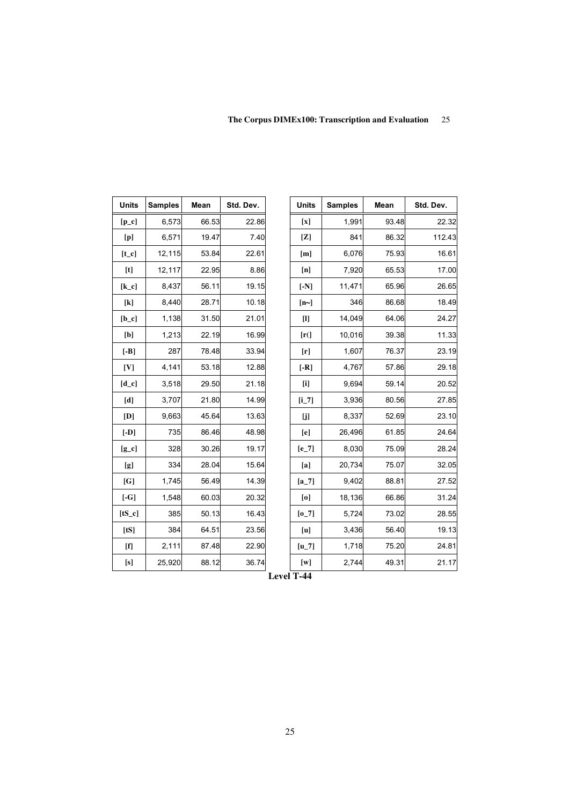| <b>Units</b>                                                                                                                                                                                                                                                                               | <b>Samples</b> | Mean  | Std. Dev. |
|--------------------------------------------------------------------------------------------------------------------------------------------------------------------------------------------------------------------------------------------------------------------------------------------|----------------|-------|-----------|
| $[p_c]$                                                                                                                                                                                                                                                                                    | 6,573          | 66.53 | 22.86     |
| $[{\bf p}]$                                                                                                                                                                                                                                                                                | 6,571          | 19.47 | 7.40      |
| $[t_c]$                                                                                                                                                                                                                                                                                    | 12,115         | 53.84 | 22.61     |
|                                                                                                                                                                                                                                                                                            | 12,117         | 22.95 | 8.86      |
| $[k_c]$                                                                                                                                                                                                                                                                                    | 8,437          | 56.11 | 19.15     |
| [k]                                                                                                                                                                                                                                                                                        | 8,440          | 28.71 | 10.18     |
| $[b_c]$                                                                                                                                                                                                                                                                                    | 1,138          | 31.50 | 21.01     |
| $[{\bf b}]$                                                                                                                                                                                                                                                                                | 1,213          | 22.19 | 16.99     |
| $[-B]$                                                                                                                                                                                                                                                                                     | 287            | 78.48 | 33.94     |
| $[{\rm V}]$                                                                                                                                                                                                                                                                                | 4,141          | 53.18 | 12.88     |
| $[d_c]$                                                                                                                                                                                                                                                                                    | 3,518          | 29.50 | 21.18     |
| [d]                                                                                                                                                                                                                                                                                        | 3,707          | 21.80 | 14.99     |
| [D]                                                                                                                                                                                                                                                                                        | 9,663          | 45.64 | 13.63     |
| $[-D]$                                                                                                                                                                                                                                                                                     | 735            | 86.46 | 48.98     |
| $[g_c]$                                                                                                                                                                                                                                                                                    | 328            | 30.26 | 19.17     |
| [g]                                                                                                                                                                                                                                                                                        | 334            | 28.04 | 15.64     |
| [G]                                                                                                                                                                                                                                                                                        | 1,745          | 56.49 | 14.39     |
| $[-G]$                                                                                                                                                                                                                                                                                     | 1,548          | 60.03 | 20.32     |
| $[tS_c]$                                                                                                                                                                                                                                                                                   | 385            | 50.13 | 16.43     |
| [tS]                                                                                                                                                                                                                                                                                       | 384            | 64.51 | 23.56     |
| $[{\bf f}]$                                                                                                                                                                                                                                                                                | 2,111          | 87.48 | 22.90     |
| $[s] \centering% \includegraphics[width=1.0\textwidth]{images/TrDiS/N-Architecture.png} \caption{The 3D (top) and the 4D (bottom) of the 3D (bottom) and the 4D (bottom) of the 3D (bottom) and the 4D (bottom) of the 3D (bottom) and the 4D (bottom) of the 3D (bottom).} \label{TrDiS}$ | 25,920         | 88.12 | 36.74     |

| Units                                                                                                                                                                                                                                                        | <b>Samples</b> | Mean  | Std. Dev. | <b>Units</b>                                                                                                                                                                                                                                                                                                                                                                                                                                                                                                                                                                                                                                                                                                                                                                                                                                                                                                                          | <b>Samples</b> | Mean  | Std. Dev. |
|--------------------------------------------------------------------------------------------------------------------------------------------------------------------------------------------------------------------------------------------------------------|----------------|-------|-----------|---------------------------------------------------------------------------------------------------------------------------------------------------------------------------------------------------------------------------------------------------------------------------------------------------------------------------------------------------------------------------------------------------------------------------------------------------------------------------------------------------------------------------------------------------------------------------------------------------------------------------------------------------------------------------------------------------------------------------------------------------------------------------------------------------------------------------------------------------------------------------------------------------------------------------------------|----------------|-------|-----------|
| $[p_c]$                                                                                                                                                                                                                                                      | 6,573          | 66.53 | 22.86     | $\left[ \mathbf{x}\right]$                                                                                                                                                                                                                                                                                                                                                                                                                                                                                                                                                                                                                                                                                                                                                                                                                                                                                                            | 1,991          | 93.48 | 22.32     |
| $[{\bf p}]$                                                                                                                                                                                                                                                  | 6,571          | 19.47 | 7.40      | [Z]                                                                                                                                                                                                                                                                                                                                                                                                                                                                                                                                                                                                                                                                                                                                                                                                                                                                                                                                   | 841            | 86.32 | 112.43    |
| $[t_c]$                                                                                                                                                                                                                                                      | 12,115         | 53.84 | 22.61     | [m]                                                                                                                                                                                                                                                                                                                                                                                                                                                                                                                                                                                                                                                                                                                                                                                                                                                                                                                                   | 6,076          | 75.93 | 16.61     |
|                                                                                                                                                                                                                                                              | 12,117         | 22.95 | 8.86      | [n]                                                                                                                                                                                                                                                                                                                                                                                                                                                                                                                                                                                                                                                                                                                                                                                                                                                                                                                                   | 7,920          | 65.53 | 17.00     |
| $[k_c]$                                                                                                                                                                                                                                                      | 8,437          | 56.11 | 19.15     | $[-N]$                                                                                                                                                                                                                                                                                                                                                                                                                                                                                                                                                                                                                                                                                                                                                                                                                                                                                                                                | 11,471         | 65.96 | 26.65     |
| [k]                                                                                                                                                                                                                                                          | 8,440          | 28.71 | 10.18     | $[n\sim]$                                                                                                                                                                                                                                                                                                                                                                                                                                                                                                                                                                                                                                                                                                                                                                                                                                                                                                                             | 346            | 86.68 | 18.49     |
| $[b_c]$                                                                                                                                                                                                                                                      | 1,138          | 31.50 | 21.01     | $[1] % \centering \includegraphics[width=0.9\columnwidth]{figures/fig_1a} \caption{The average number of times on the left and right. The average number of times on the right, the number of times on the right, the number of times on the right, the number of times on the right, the number of times on the right, the number of times on the right, the number of times on the right, the number of times on the right, the number of times on the right, the number of times on the right, the number of times on the right, the number of times on the right, the number of times on the right, the number of times on the right, the number of times on the right, the number of times on the right, the number of times on the right, the number of times on the right, the number of times on the right, the number of times on the right, the number of times on the right, the number of times on the right, the number$ | 14,049         | 64.06 | 24.27     |
| [b]                                                                                                                                                                                                                                                          | 1,213          | 22.19 | 16.99     | [r(                                                                                                                                                                                                                                                                                                                                                                                                                                                                                                                                                                                                                                                                                                                                                                                                                                                                                                                                   | 10,016         | 39.38 | 11.33     |
| $[-B]$                                                                                                                                                                                                                                                       | 287            | 78.48 | 33.94     | [r]                                                                                                                                                                                                                                                                                                                                                                                                                                                                                                                                                                                                                                                                                                                                                                                                                                                                                                                                   | 1,607          | 76.37 | 23.19     |
| [V]                                                                                                                                                                                                                                                          | 4,141          | 53.18 | 12.88     | $[-R]$                                                                                                                                                                                                                                                                                                                                                                                                                                                                                                                                                                                                                                                                                                                                                                                                                                                                                                                                | 4,767          | 57.86 | 29.18     |
| $[d_c]$                                                                                                                                                                                                                                                      | 3,518          | 29.50 | 21.18     | [i]                                                                                                                                                                                                                                                                                                                                                                                                                                                                                                                                                                                                                                                                                                                                                                                                                                                                                                                                   | 9,694          | 59.14 | 20.52     |
|                                                                                                                                                                                                                                                              | 3,707          | 21.80 | 14.99     | $[i_7]$                                                                                                                                                                                                                                                                                                                                                                                                                                                                                                                                                                                                                                                                                                                                                                                                                                                                                                                               | 3,936          | 80.56 | 27.85     |
| [D]                                                                                                                                                                                                                                                          | 9,663          | 45.64 | 13.63     | [j]                                                                                                                                                                                                                                                                                                                                                                                                                                                                                                                                                                                                                                                                                                                                                                                                                                                                                                                                   | 8,337          | 52.69 | 23.10     |
| $[-D]$                                                                                                                                                                                                                                                       | 735            | 86.46 | 48.98     | [e]                                                                                                                                                                                                                                                                                                                                                                                                                                                                                                                                                                                                                                                                                                                                                                                                                                                                                                                                   | 26,496         | 61.85 | 24.64     |
| $[g_c]$                                                                                                                                                                                                                                                      | 328            | 30.26 | 19.17     | $[e_7]$                                                                                                                                                                                                                                                                                                                                                                                                                                                                                                                                                                                                                                                                                                                                                                                                                                                                                                                               | 8,030          | 75.09 | 28.24     |
| [g]                                                                                                                                                                                                                                                          | 334            | 28.04 | 15.64     | [a]                                                                                                                                                                                                                                                                                                                                                                                                                                                                                                                                                                                                                                                                                                                                                                                                                                                                                                                                   | 20,734         | 75.07 | 32.05     |
| $\left[{\bf G}\right]$                                                                                                                                                                                                                                       | 1,745          | 56.49 | 14.39     | $[a_7]$                                                                                                                                                                                                                                                                                                                                                                                                                                                                                                                                                                                                                                                                                                                                                                                                                                                                                                                               | 9,402          | 88.81 | 27.52     |
| $[-G]$                                                                                                                                                                                                                                                       | 1,548          | 60.03 | 20.32     | [ <b>o</b> ]                                                                                                                                                                                                                                                                                                                                                                                                                                                                                                                                                                                                                                                                                                                                                                                                                                                                                                                          | 18,136         | 66.86 | 31.24     |
| $[tS_c]$                                                                                                                                                                                                                                                     | 385            | 50.13 | 16.43     | [0.7]                                                                                                                                                                                                                                                                                                                                                                                                                                                                                                                                                                                                                                                                                                                                                                                                                                                                                                                                 | 5,724          | 73.02 | 28.55     |
| [tS]                                                                                                                                                                                                                                                         | 384            | 64.51 | 23.56     | $[\mathbf{u}]$                                                                                                                                                                                                                                                                                                                                                                                                                                                                                                                                                                                                                                                                                                                                                                                                                                                                                                                        | 3,436          | 56.40 | 19.13     |
| $[f] % \begin{center} % \includegraphics[width=\linewidth]{imagesSupplemental_3.png} % \end{center} % \caption { % Our method is used for the method. % Our method is used for the method. % The method is used for the method. % } % \label{fig:example} %$ | 2,111          | 87.48 | 22.90     | $[u_7]$                                                                                                                                                                                                                                                                                                                                                                                                                                                                                                                                                                                                                                                                                                                                                                                                                                                                                                                               | 1,718          | 75.20 | 24.81     |
| $[\mathbf{s}]$                                                                                                                                                                                                                                               | 25,920         | 88.12 | 36.74     | [w]                                                                                                                                                                                                                                                                                                                                                                                                                                                                                                                                                                                                                                                                                                                                                                                                                                                                                                                                   | 2,744          | 49.31 | 21.17     |

**Level T-44**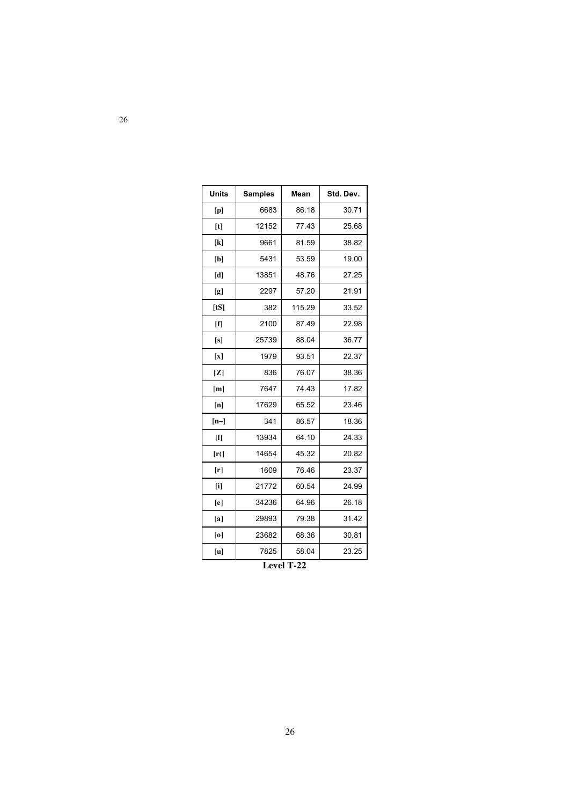| <b>Units</b>                                                                                                                                                                                                                                                                                                                                                                                                                                                                                                                                                               | <b>Samples</b> | Mean   | Std. Dev. |  |  |  |  |  |
|----------------------------------------------------------------------------------------------------------------------------------------------------------------------------------------------------------------------------------------------------------------------------------------------------------------------------------------------------------------------------------------------------------------------------------------------------------------------------------------------------------------------------------------------------------------------------|----------------|--------|-----------|--|--|--|--|--|
| $[{\bf p}]$                                                                                                                                                                                                                                                                                                                                                                                                                                                                                                                                                                | 6683           | 86.18  | 30.71     |  |  |  |  |  |
| $[t]$                                                                                                                                                                                                                                                                                                                                                                                                                                                                                                                                                                      | 12152          | 77.43  | 25.68     |  |  |  |  |  |
| $[{\bf k}]$                                                                                                                                                                                                                                                                                                                                                                                                                                                                                                                                                                | 9661           | 81.59  | 38.82     |  |  |  |  |  |
| [b]                                                                                                                                                                                                                                                                                                                                                                                                                                                                                                                                                                        | 5431           | 53.59  | 19.00     |  |  |  |  |  |
| [d]                                                                                                                                                                                                                                                                                                                                                                                                                                                                                                                                                                        | 13851          | 48.76  | 27.25     |  |  |  |  |  |
| [g]                                                                                                                                                                                                                                                                                                                                                                                                                                                                                                                                                                        | 2297           | 57.20  | 21.91     |  |  |  |  |  |
| [tS]                                                                                                                                                                                                                                                                                                                                                                                                                                                                                                                                                                       | 382            | 115.29 | 33.52     |  |  |  |  |  |
| $[1]$                                                                                                                                                                                                                                                                                                                                                                                                                                                                                                                                                                      | 2100           | 87.49  | 22.98     |  |  |  |  |  |
| [s]                                                                                                                                                                                                                                                                                                                                                                                                                                                                                                                                                                        | 25739          | 88.04  | 36.77     |  |  |  |  |  |
| $\mathbf{[x]}$                                                                                                                                                                                                                                                                                                                                                                                                                                                                                                                                                             | 1979           | 93.51  | 22.37     |  |  |  |  |  |
| [Z]                                                                                                                                                                                                                                                                                                                                                                                                                                                                                                                                                                        | 836            | 76.07  | 38.36     |  |  |  |  |  |
| [m]                                                                                                                                                                                                                                                                                                                                                                                                                                                                                                                                                                        | 7647           | 74.43  | 17.82     |  |  |  |  |  |
| [n]                                                                                                                                                                                                                                                                                                                                                                                                                                                                                                                                                                        | 17629          | 65.52  | 23.46     |  |  |  |  |  |
| $[n\sim]$                                                                                                                                                                                                                                                                                                                                                                                                                                                                                                                                                                  | 341            | 86.57  | 18.36     |  |  |  |  |  |
| $[1]$                                                                                                                                                                                                                                                                                                                                                                                                                                                                                                                                                                      | 13934          | 64.10  | 24.33     |  |  |  |  |  |
| [r(                                                                                                                                                                                                                                                                                                                                                                                                                                                                                                                                                                        | 14654          | 45.32  | 20.82     |  |  |  |  |  |
| [r]                                                                                                                                                                                                                                                                                                                                                                                                                                                                                                                                                                        | 1609           | 76.46  | 23.37     |  |  |  |  |  |
| [i]                                                                                                                                                                                                                                                                                                                                                                                                                                                                                                                                                                        | 21772          | 60.54  | 24.99     |  |  |  |  |  |
| $[e] \centering% \includegraphics[width=1.0\textwidth]{figs/fig_0a}% \includegraphics[width=1.0\textwidth]{figs/fig_0b}% \includegraphics[width=1.0\textwidth]{figs/fig_0b}% \includegraphics[width=1.0\textwidth]{figs/fig_0b}% \includegraphics[width=1.0\textwidth]{figs/fig_0b}% \includegraphics[width=1.0\textwidth]{figs/fig_0b}% \includegraphics[width=1.0\textwidth]{figs/fig_0b}% \includegraphics[width=1.0\textwidth]{figs/fig_0b}% \includegraphics[width=1.0\textwidth]{figs/fig_0b}% \includegraphics[width=1.0\textwidth]{figs/fig_0b}% \includegraphics$ | 34236          | 64.96  | 26.18     |  |  |  |  |  |
| [a]                                                                                                                                                                                                                                                                                                                                                                                                                                                                                                                                                                        | 29893          | 79.38  | 31.42     |  |  |  |  |  |
| $\lbrack 0 \rbrack$                                                                                                                                                                                                                                                                                                                                                                                                                                                                                                                                                        | 23682          | 68.36  | 30.81     |  |  |  |  |  |
| [u]                                                                                                                                                                                                                                                                                                                                                                                                                                                                                                                                                                        | 7825           | 58.04  | 23.25     |  |  |  |  |  |
| Level T-22                                                                                                                                                                                                                                                                                                                                                                                                                                                                                                                                                                 |                |        |           |  |  |  |  |  |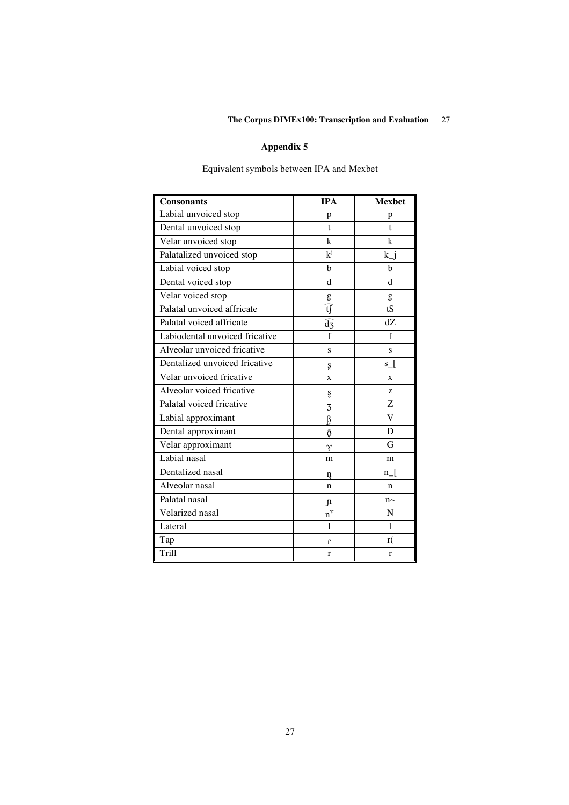# **Appendix 5**

# Equivalent symbols between IPA and Mexbet

| <b>Consonants</b>              | <b>IPA</b>                | <b>Mexbet</b>                                                                                                                                                                                                                                                                                                                                                                                                                  |
|--------------------------------|---------------------------|--------------------------------------------------------------------------------------------------------------------------------------------------------------------------------------------------------------------------------------------------------------------------------------------------------------------------------------------------------------------------------------------------------------------------------|
| Labial unvoiced stop           | p                         | p                                                                                                                                                                                                                                                                                                                                                                                                                              |
| Dental unvoiced stop           | t                         | t                                                                                                                                                                                                                                                                                                                                                                                                                              |
| Velar unvoiced stop            | k                         | k                                                                                                                                                                                                                                                                                                                                                                                                                              |
| Palatalized unvoiced stop      | $k^{j}$                   | $k_j$                                                                                                                                                                                                                                                                                                                                                                                                                          |
| Labial voiced stop             | b                         | $\mathbf b$                                                                                                                                                                                                                                                                                                                                                                                                                    |
| Dental voiced stop             | d                         | d                                                                                                                                                                                                                                                                                                                                                                                                                              |
| Velar voiced stop              | g                         | $\mathbf{g}% _{T}=\mathbf{g}_{T}=\mathbf{g}_{T}=\mathbf{g}_{T}=\mathbf{g}_{T}=\mathbf{g}_{T}=\mathbf{g}_{T}=\mathbf{g}_{T}=\mathbf{g}_{T}=\mathbf{g}_{T}=\mathbf{g}_{T}=\mathbf{g}_{T}=\mathbf{g}_{T}=\mathbf{g}_{T}=\mathbf{g}_{T}=\mathbf{g}_{T}=\mathbf{g}_{T}=\mathbf{g}_{T}=\mathbf{g}_{T}=\mathbf{g}_{T}=\mathbf{g}_{T}=\mathbf{g}_{T}=\mathbf{g}_{T}=\mathbf{g}_{T}=\mathbf{g}_{T}=\mathbf{g}_{T}=\mathbf{g}_{T}=\math$ |
| Palatal unvoiced affricate     | $\overline{\mathfrak{t}}$ | tS                                                                                                                                                                                                                                                                                                                                                                                                                             |
| Palatal voiced affricate       | $rac{\widehat{d_3}}{f}$   | dZ                                                                                                                                                                                                                                                                                                                                                                                                                             |
| Labiodental unvoiced fricative |                           | $\mathbf f$                                                                                                                                                                                                                                                                                                                                                                                                                    |
| Alveolar unvoiced fricative    | S                         | S                                                                                                                                                                                                                                                                                                                                                                                                                              |
| Dentalized unvoiced fricative  | $S_{n}$                   | $S_{-}$ [                                                                                                                                                                                                                                                                                                                                                                                                                      |
| Velar unvoiced fricative       | X                         | $\mathbf{X}$                                                                                                                                                                                                                                                                                                                                                                                                                   |
| Alveolar voiced fricative      | Ş                         | Z                                                                                                                                                                                                                                                                                                                                                                                                                              |
| Palatal voiced fricative       | 3                         | Z                                                                                                                                                                                                                                                                                                                                                                                                                              |
| Labial approximant             | ß                         | $\overline{\rm v}$                                                                                                                                                                                                                                                                                                                                                                                                             |
| Dental approximant             | ð                         | $\mathbf D$                                                                                                                                                                                                                                                                                                                                                                                                                    |
| Velar approximant              | $\hat{a}$                 | G                                                                                                                                                                                                                                                                                                                                                                                                                              |
| Labial nasal                   | m                         | m                                                                                                                                                                                                                                                                                                                                                                                                                              |
| Dentalized nasal               | ņ                         | $n_{-}$                                                                                                                                                                                                                                                                                                                                                                                                                        |
| Alveolar nasal                 | n                         | n                                                                                                                                                                                                                                                                                                                                                                                                                              |
| Palatal nasal                  | Jı                        | $n{\sim}$                                                                                                                                                                                                                                                                                                                                                                                                                      |
| Velarized nasal                | $n^{\gamma}$              | N                                                                                                                                                                                                                                                                                                                                                                                                                              |
| Lateral                        | 1                         | 1                                                                                                                                                                                                                                                                                                                                                                                                                              |
| Tap                            | $\mathbf{r}$              | r(                                                                                                                                                                                                                                                                                                                                                                                                                             |
| Trill                          | $\mathbf{r}$              | r                                                                                                                                                                                                                                                                                                                                                                                                                              |